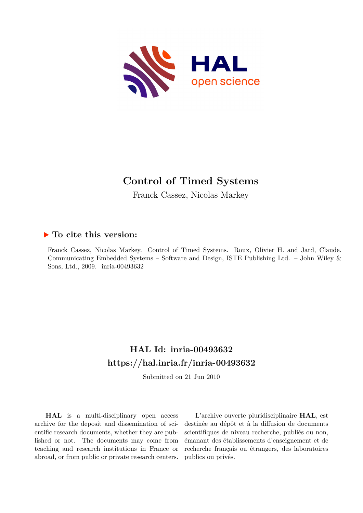

# **Control of Timed Systems**

Franck Cassez, Nicolas Markey

# **To cite this version:**

Franck Cassez, Nicolas Markey. Control of Timed Systems. Roux, Olivier H. and Jard, Claude. Communicating Embedded Systems – Software and Design, ISTE Publishing Ltd. – John Wiley & Sons, Ltd., 2009. inria-00493632

# **HAL Id: inria-00493632 <https://hal.inria.fr/inria-00493632>**

Submitted on 21 Jun 2010

**HAL** is a multi-disciplinary open access archive for the deposit and dissemination of scientific research documents, whether they are published or not. The documents may come from teaching and research institutions in France or abroad, or from public or private research centers.

L'archive ouverte pluridisciplinaire **HAL**, est destinée au dépôt et à la diffusion de documents scientifiques de niveau recherche, publiés ou non, émanant des établissements d'enseignement et de recherche français ou étrangers, des laboratoires publics ou privés.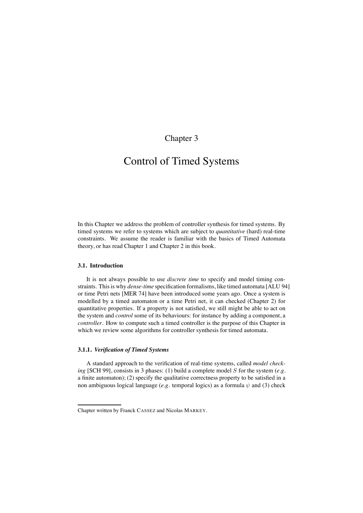# Chapter 3

# Control of Timed Systems

In this Chapter we address the problem of controller synthesis for timed systems. By timed systems we refer to systems which are subject to *quantitative* (hard) real-time constraints. We assume the reader is familiar with the basics of Timed Automata theory, or has read Chapter 1 and Chapter 2 in this book.

# **3.1. Introduction**

It is not always possible to use *discrete time* to specify and model timing constraints. This is why *dense-time* specification formalisms, like timed automata [ALU 94] or time Petri nets [MER 74] have been introduced some years ago. Once a system is modelled by a timed automaton or a time Petri net, it can checked (Chapter 2) for quantitative properties. If a property is not satisfied, we still might be able to act on the system and *control* some of its behaviours: for instance by adding a component, a *controller*. How to compute such a timed controller is the purpose of this Chapter in which we review some algorithms for controller synthesis for timed automata.

# **3.1.1.** *Verification of Timed Systems*

A standard approach to the verification of real-time systems, called *model checking* [SCH 99], consists in 3 phases: (1) build a complete model S for the system (*e.g.* a finite automaton); (2) specify the qualitative correctness property to be satisfied in a non ambiguous logical language ( $e.g.$  temporal logics) as a formula  $\psi$  and (3) check

Chapter written by Franck CASSEZ and Nicolas MARKEY.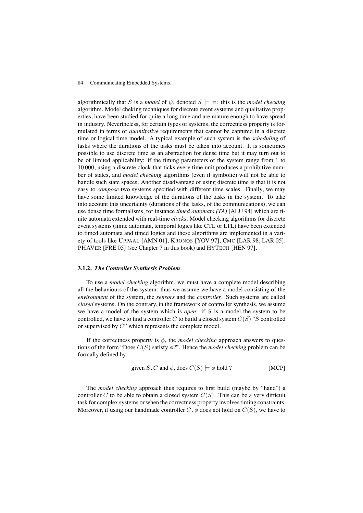algorithmically that S is a *model* of  $\psi$ , denoted  $S \models \psi$ : this is the *model checking* algorithm. Model cheking techniques for discrete event systems and qualitative properties, have been studied for quite a long time and are mature enough to have spread in industry. Nevertheless, for certain types of systems, the correctness property is formulated in terms of *quantitative* requirements that cannot be captured in a discrete time or logical time model. A typical example of such system is the *scheduling* of tasks where the durations of the tasks must be taken into account. It is sometimes possible to use discrete time as an abstraction for dense time but it may turn out to be of limited applicability: if the timing parameters of the system range from 1 to 10 000, using a discrete clock that ticks every time unit produces a prohibitive number of states, and *model checking* algorithms (even if symbolic) will not be able to handle such state spaces. Another disadvantage of using discrete time is that it is not easy to *compose* two systems specified with different time scales. Finally, we may have some limited knowledge of the durations of the tasks in the system. To take into account this uncertainty (durations of the tasks, of the communications), we can use dense time formalisms, for instance *timed automata (TA)* [ALU 94] which are finite automata extended with real-time *clocks*. Model checking algorithms for discrete event systems (finite automata, temporal logics like CTL or LTL) have been extended to timed automata and timed logics and these algorithms are implemented in a variety of tools like UPPAAL [AMN 01], KRONOS [YOV 97], CMC [LAR 98, LAR 05], PHAVER [FRE 05] (see Chapter 7 in this book) and HYTECH [HEN 97].

#### **3.1.2.** *The Controller Synthesis Problem*

To use a *model checking* algorithm, we must have a complete model describing all the behaviours of the system: thus we assume we have a model consisting of the *environment* of the system, the *sensors* and the *controller*. Such systems are called *closed* systems. On the contrary, in the framework of controller synthesis, we assume we have a model of the system which is *open*: if S is a model the system to be controlled, we have to find a controller C to build a closed system  $C(S)$  "S controlled or supervised by C" which represents the complete model.

If the correctness property is  $\phi$ , the *model checking* approach answers to questions of the form "Does  $C(S)$  satisfy  $\phi$ ?". Hence the *model checking* problem can be formally defined by:

given S, C and 
$$
\phi
$$
, does  $C(S) \models \phi$  hold ? [MCP]

The *model checking* approach thus requires to first build (maybe by "hand") a controller C to be able to obtain a closed system  $C(S)$ . This can be a very difficult task for complex systems or when the correctness property involves timing constraints. Moreover, if using our handmade controller  $C$ ,  $\phi$  does not hold on  $C(S)$ , we have to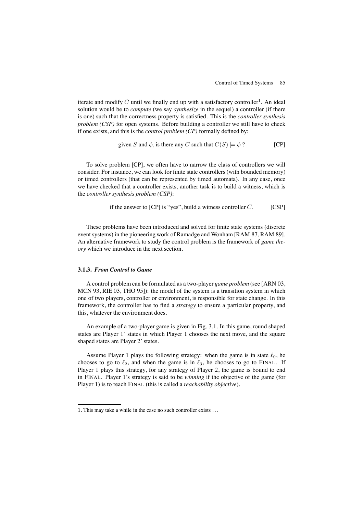iterate and modify C until we finally end up with a satisfactory controller<sup>1</sup>. An ideal solution would be to *compute* (we say *synthesize* in the sequel) a controller (if there is one) such that the correctness property is satisfied. This is the *controller synthesis problem (CSP)* for open systems. Before building a controller we still have to check if one exists, and this is the *control problem (CP)* formally defined by:

given S and 
$$
\phi
$$
, is there any C such that  $C(S) \models \phi$ ? [CP]

To solve problem [CP], we often have to narrow the class of controllers we will consider. For instance, we can look for finite state controllers (with bounded memory) or timed controllers (that can be represented by timed automata). In any case, once we have checked that a controller exists, another task is to build a witness, which is the *controller synthesis problem (CSP)*:

if the answer to [CP] is "yes", build a witness controller 
$$
C
$$
. [CSP]

These problems have been introduced and solved for finite state systems (discrete event systems) in the pioneering work of Ramadge and Wonham [RAM 87, RAM 89]. An alternative framework to study the control problem is the framework of *game theory* which we introduce in the next section.

#### **3.1.3.** *From Control to Game*

A control problem can be formulated as a two-player *game problem* (see [ARN 03, MCN 93, RIE 03, THO 95]): the model of the system is a transition system in which one of two players, controller or environment, is responsible for state change. In this framework, the controller has to find a *strategy* to ensure a particular property, and this, whatever the environment does.

An example of a two-player game is given in Fig. 3.1. In this game, round shaped states are Player 1' states in which Player 1 chooses the next move, and the square shaped states are Player 2' states.

Assume Player 1 plays the following strategy: when the game is in state  $\ell_0$ , he chooses to go to  $\ell_2$ , and when the game is in  $\ell_3$ , he chooses to go to FINAL. If Player 1 plays this strategy, for any strategy of Player 2, the game is bound to end in FINAL. Player 1's strategy is said to be *winning* if the objective of the game (for Player 1) is to reach FINAL (this is called a *reachability objective*).

<sup>1</sup>. This may take a while in the case no such controller exists . . .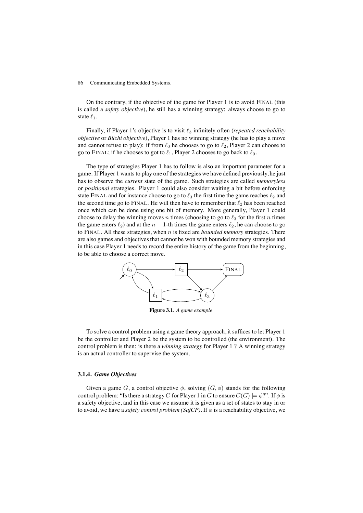On the contrary, if the objective of the game for Player 1 is to avoid FINAL (this is called a *safety objective*), he still has a winning strategy: always choose to go to state  $\ell_1$ .

Finally, if Player 1's objective is to visit  $\ell_3$  infinitely often (*repeated reachability objective* or *Büchi objective*), Player 1 has no winning strategy (he has to play a move and cannot refuse to play): if from  $\ell_0$  he chooses to go to  $\ell_2$ , Player 2 can choose to go to FINAL; if he chooses to got to  $\ell_1$ , Player 2 chooses to go back to  $\ell_0$ .

The type of strategies Player 1 has to follow is also an important parameter for a game. If Player 1 wants to play one of the strategies we have defined previously, he just has to observe the *current* state of the game. Such strategies are called *memoryless* or *positional* strategies. Player 1 could also consider waiting a bit before enforcing state FINAL and for instance choose to go to  $\ell_3$  the first time the game reaches  $\ell_2$  and the second time go to FINAL. He will then have to remember that  $\ell_2$  has been reached once which can be done using one bit of memory. More generally, Player 1 could choose to delay the winning moves n times (choosing to go to  $\ell_3$  for the first n times the game enters  $\ell_2$ ) and at the  $n + 1$ -th times the game enters  $\ell_2$ , he can choose to go to FINAL. All these strategies, when n is fixed are *bounded memory* strategies. There are also games and objectives that cannot be won with bounded memory strategies and in this case Player 1 needs to record the entire history of the game from the beginning, to be able to choose a correct move.



**Figure 3.1.** *A game example*

To solve a control problem using a game theory approach, it suffices to let Player 1 be the controller and Player 2 be the system to be controlled (the environment). The control problem is then: is there a *winning strategy* for Player 1 ? A winning strategy is an actual controller to supervise the system.

# **3.1.4.** *Game Objectives*

Given a game G, a control objective  $\phi$ , solving  $(G, \phi)$  stands for the following control problem: "Is there a strategy C for Player 1 in G to ensure  $C(G) \models \phi$ ?". If  $\phi$  is a safety objective, and in this case we assume it is given as a set of states to stay in or to avoid, we have a *safety control problem (SafCP)*. If  $\phi$  is a reachability objective, we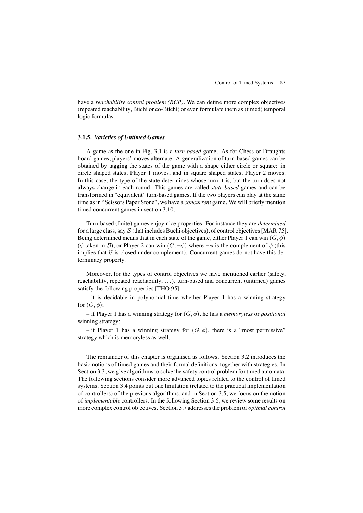have a *reachability control problem (RCP)*. We can define more complex objectives (repeated reachability, Büchi or co-Büchi) or even formulate them as (timed) temporal logic formulas.

# **3.1.5.** *Varieties of Untimed Games*

A game as the one in Fig. 3.1 is a *turn-based* game. As for Chess or Draughts board games, players' moves alternate. A generalization of turn-based games can be obtained by tagging the states of the game with a shape either circle or square: in circle shaped states, Player 1 moves, and in square shaped states, Player 2 moves. In this case, the type of the state determines whose turn it is, but the turn does not always change in each round. This games are called *state-based* games and can be transformed in "equivalent" turn-based games. If the two players can play at the same time as in "Scissors Paper Stone", we have a *concurrent* game. We will briefly mention timed concurrent games in section 3.10.

Turn-based (finite) games enjoy nice properties. For instance they are *determined* for a large class, say  $\beta$  (that includes Büchi objectives), of control objectives [MAR 75]. Being determined means that in each state of the game, either Player 1 can win  $(G, \phi)$ ( $\phi$  taken in B), or Player 2 can win  $(G, \neg \phi)$  where  $\neg \phi$  is the complement of  $\phi$  (this implies that  $\beta$  is closed under complement). Concurrent games do not have this determinacy property.

Moreover, for the types of control objectives we have mentioned earlier (safety, reachability, repeated reachability, . . . ), turn-based and concurrent (untimed) games satisfy the following properties [THO 95]:

– it is decidable in polynomial time whether Player 1 has a winning strategy for  $(G, \phi)$ ;

– if Player 1 has a winning strategy for (G, φ), he has a *memoryless* or *positional* winning strategy;

– if Player 1 has a winning strategy for  $(G, \phi)$ , there is a "most permissive" strategy which is memoryless as well.

The remainder of this chapter is organised as follows. Section 3.2 introduces the basic notions of timed games and their formal definitions, together with strategies. In Section 3.3, we give algorithms to solve the safety control problem for timed automata. The following sections consider more advanced topics related to the control of timed systems. Section 3.4 points out one limitation (related to the practical implementation of controllers) of the previous algorithms, and in Section 3.5, we focus on the notion of *implementable* controllers. In the following Section 3.6, we review some results on more complex control objectives. Section 3.7 addresses the problem of *optimal control*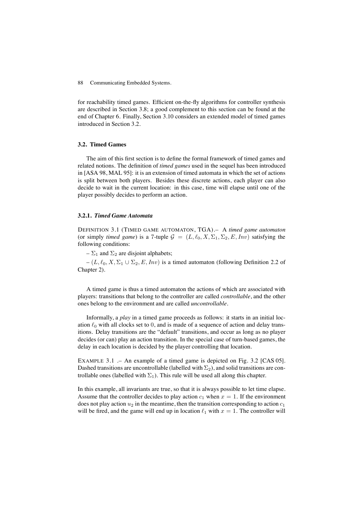for reachability timed games. Efficient on-the-fly algorithms for controller synthesis are described in Section 3.8; a good complement to this section can be found at the end of Chapter 6. Finally, Section 3.10 considers an extended model of timed games introduced in Section 3.2.

# **3.2. Timed Games**

The aim of this first section is to define the formal framework of timed games and related notions. The definition of *timed games* used in the sequel has been introduced in [ASA 98, MAL 95]: it is an extension of timed automata in which the set of actions is split between both players. Besides these discrete actions, each player can also decide to wait in the current location: in this case, time will elapse until one of the player possibly decides to perform an action.

# **3.2.1.** *Timed Game Automata*

DEFINITION 3.1 (TIMED GAME AUTOMATON, TGA).– A *timed game automaton* (or simply *timed game*) is a 7-tuple  $\mathcal{G} = (L, \ell_0, X, \Sigma_1, \Sigma_2, E, Inv)$  satisfying the following conditions:

–  $\Sigma_1$  and  $\Sigma_2$  are disjoint alphabets;

–  $(L, \ell_0, X, \Sigma_1 \cup \Sigma_2, E, Inv)$  is a timed automaton (following Definition 2.2 of Chapter 2).

A timed game is thus a timed automaton the actions of which are associated with players: transitions that belong to the controller are called *controllable*, and the other ones belong to the environment and are called *uncontrollable*.

Informally, a *play* in a timed game proceeds as follows: it starts in an initial location  $\ell_0$  with all clocks set to 0, and is made of a sequence of action and delay transitions. Delay transitions are the "default" transitions, and occur as long as no player decides (or can) play an action transition. In the special case of turn-based games, the delay in each location is decided by the player controlling that location.

EXAMPLE 3.1 .– An example of a timed game is depicted on Fig. 3.2 [CAS 05]. Dashed transitions are uncontrollable (labelled with  $\Sigma_2$ ), and solid transitions are controllable ones (labelled with  $\Sigma_1$ ). This rule will be used all along this chapter.

In this example, all invariants are true, so that it is always possible to let time elapse. Assume that the controller decides to play action  $c_1$  when  $x = 1$ . If the environment does not play action  $u_2$  in the meantime, then the transition corresponding to action  $c_1$ will be fired, and the game will end up in location  $\ell_1$  with  $x = 1$ . The controller will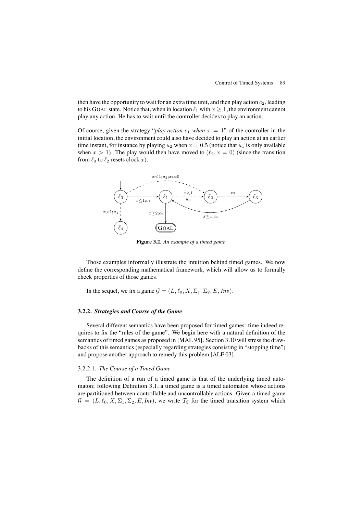then have the opportunity to wait for an extra time unit, and then play action  $c_2$ , leading to his GOAL state. Notice that, when in location  $\ell_1$  with  $x \geq 1$ , the environment cannot play any action. He has to wait until the controller decides to play an action.

Of course, given the strategy "*play action*  $c_1$  *when*  $x = 1$ " of the controller in the initial location, the environment could also have decided to play an action at an earlier time instant, for instance by playing  $u_2$  when  $x = 0.5$  (notice that  $u_1$  is only available when  $x > 1$ ). The play would then have moved to  $(\ell_2, x = 0)$  (since the transition from  $\ell_0$  to  $\ell_2$  resets clock x).



**Figure 3.2.** *An example of a timed game*

Those examples informally illustrate the intuition behind timed games. We now define the corresponding mathematical framework, which will allow us to formally check properties of those games.

In the sequel, we fix a game  $G = (L, \ell_0, X, \Sigma_1, \Sigma_2, E, Inv)$ .

# **3.2.2.** *Strategies and Course of the Game*

Several different semantics have been proposed for timed games: time indeed requires to fix the "rules of the game". We begin here with a natural definition of the semantics of timed games as proposed in [MAL 95]. Section 3.10 will stress the drawbacks of this semantics (especially regarding strategies consisting in "stopping time") and propose another approach to remedy this problem [ALF 03].

#### 3.2.2.1. *The Course of a Timed Game*

The definition of a run of a timed game is that of the underlying timed automaton; following Definition 3.1, a timed game is a timed automaton whose actions are partitioned between controllable and uncontrollable actions. Given a timed game  $G = (L, \ell_0, X, \Sigma_1, \Sigma_2, E, Inv)$ , we write  $T_G$  for the timed transition system which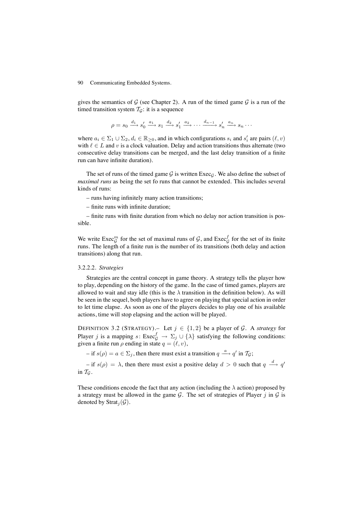gives the semantics of  $G$  (see Chapter 2). A run of the timed game  $G$  is a run of the timed transition system  $T_{\mathcal{G}}$ : it is a sequence

$$
\rho = s_0 \xrightarrow{d_1} s'_0 \xrightarrow{a_1} s_1 \xrightarrow{d_2} s'_1 \xrightarrow{a_2} \cdots \xrightarrow{d_{n-1}} s'_n \xrightarrow{a_n} s_n \cdots
$$

where  $a_i \in \Sigma_1 \cup \Sigma_2$ ,  $d_i \in \mathbb{R}_{\geq 0}$ , and in which configurations  $s_i$  and  $s'_i$  are pairs  $(\ell, v)$ with  $\ell \in L$  and v is a clock valuation. Delay and action transitions thus alternate (two consecutive delay transitions can be merged, and the last delay transition of a finite run can have infinite duration).

The set of runs of the timed game G is written  $\text{Exec}_G$ . We also define the subset of *maximal runs* as being the set fo runs that cannot be extended. This includes several kinds of runs:

– runs having infinitely many action transitions;

– finite runs with infinite duration;

– finite runs with finite duration from which no delay nor action transition is possible.

We write  $\text{Exec}_{\mathcal{G}}^m$  for the set of maximal runs of  $\mathcal{G}$ , and  $\text{Exec}_{\mathcal{G}}^f$  for the set of its finite runs. The length of a finite run is the number of its transitions (both delay and action transitions) along that run.

#### 3.2.2.2. *Strategies*

Strategies are the central concept in game theory. A strategy tells the player how to play, depending on the history of the game. In the case of timed games, players are allowed to wait and stay idle (this is the  $\lambda$  transition in the definition below). As will be seen in the sequel, both players have to agree on playing that special action in order to let time elapse. As soon as one of the players decides to play one of his available actions, time will stop elapsing and the action will be played.

DEFINITION 3.2 (STRATEGY). Let  $j \in \{1, 2\}$  be a player of  $\mathcal{G}$ . A *strategy* for Player j is a mapping  $s: \text{Exec}_{\mathcal{G}}^f \to \Sigma_j \cup \{\lambda\}$  satisfying the following conditions: given a finite run  $\rho$  ending in state  $q = (\ell, v)$ ,

 $-$  if  $s(\rho) = a \in \Sigma_j$ , then there must exist a transition  $q \stackrel{a}{\longrightarrow} q'$  in  $\mathcal{T}_{\mathcal{G}}$ ;

 $-$  if  $s(\rho) = \lambda$ , then there must exist a positive delay  $d > 0$  such that  $q \stackrel{d}{\longrightarrow} q'$ in  $T_G$ .

These conditions encode the fact that any action (including the  $\lambda$  action) proposed by a strategy must be allowed in the game  $G$ . The set of strategies of Player j in  $G$  is denoted by Strat<sub>j</sub> $(\mathcal{G})$ .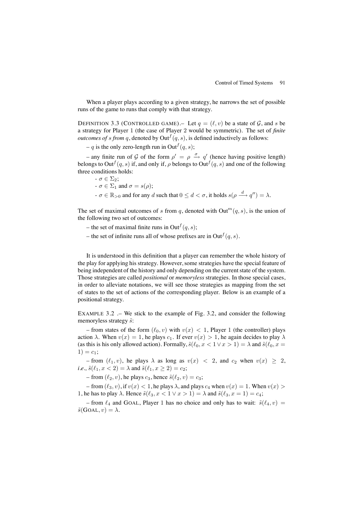When a player plays according to a given strategy, he narrows the set of possible runs of the game to runs that comply with that strategy.

DEFINITION 3.3 (CONTROLLED GAME). Let  $q = (\ell, v)$  be a state of  $\mathcal{G}$ , and s be a strategy for Player 1 (the case of Player 2 would be symmetric). The set of *finite outcomes of s from q*, denoted by  $Out^{f}(q, s)$ , is defined inductively as follows:

– q is the only zero-length run in Out<sup> $f(q, s)$ ;</sup>

– any finite run of G of the form  $\rho' = \rho \stackrel{\sigma}{\rightarrow} q'$  (hence having positive length) belongs to Out<sup> $f(q, s)$ </sup> if, and only if,  $\rho$  belongs to Out<sup> $f(q, s)$ </sup> and one of the following three conditions holds:

- $-\sigma \in \Sigma_2$ ;
- $-\sigma \in \Sigma_1$  and  $\sigma = s(\rho);$
- $-\sigma \in \mathbb{R}_{>0}$  and for any d such that  $0 \le d < \sigma$ , it holds  $s(\rho \stackrel{d}{\longrightarrow} q'') = \lambda$ .

The set of maximal outcomes of s from q, denoted with  $Out^m(q, s)$ , is the union of the following two set of outcomes:

- the set of maximal finite runs in Out  $f(q, s)$ ;
- the set of infinite runs all of whose prefixes are in Out  $f(q, s)$ .

It is understood in this definition that a player can remember the whole history of the play for applying his strategy. However, some strategies have the special feature of being independent of the history and only depending on the current state of the system. Those strategies are called *positional* or *memoryless* strategies. In those special cases, in order to alleviate notations, we will see those strategies as mapping from the set of states to the set of actions of the corresponding player. Below is an example of a positional strategy.

EXAMPLE 3.2 .– We stick to the example of Fig. 3.2, and consider the following memoryless strategy  $\tilde{s}$ :

– from states of the form  $(\ell_0, v)$  with  $v(x) < 1$ , Player 1 (the controller) plays action  $\lambda$ . When  $v(x) = 1$ , he plays  $c_1$ . If ever  $v(x) > 1$ , he again decides to play  $\lambda$ (as this is his only allowed action). Formally,  $\tilde{s}(\ell_0, x < 1 \vee x > 1) = \lambda$  and  $\tilde{s}(\ell_0, x =$  $1) = c_1$ ;

– from  $(\ell_1, v)$ , he plays  $\lambda$  as long as  $v(x) < 2$ , and  $c_2$  when  $v(x) \geq 2$ , *i.e.*,  $\tilde{s}(\ell_1, x < 2) = \lambda$  and  $\tilde{s}(\ell_1, x \ge 2) = c_2$ ;

– from  $(\ell_2, v)$ , he plays  $c_3$ , hence  $\tilde{s}(\ell_2, v) = c_3$ ;

– from  $(\ell_3, v)$ , if  $v(x) < 1$ , he plays  $\lambda$ , and plays  $c_4$  when  $v(x) = 1$ . When  $v(x) > 1$ 1, he has to play  $\lambda$ . Hence  $\tilde{s}(\ell_3, x < 1 \vee x > 1) = \lambda$  and  $\tilde{s}(\ell_3, x = 1) = c_4$ ;

– from  $\ell_4$  and GOAL, Player 1 has no choice and only has to wait:  $\tilde{s}(\ell_4, v)$  =  $\tilde{s}(\text{GOAL}, v) = \lambda.$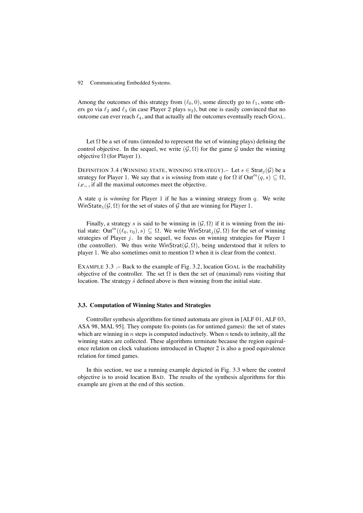Among the outcomes of this strategy from  $(\ell_0, 0)$ , some directly go to  $\ell_1$ , some others go via  $\ell_2$  and  $\ell_3$  (in case Player 2 plays  $u_2$ ), but one is easily convinced that no outcome can ever reach  $\ell_4$ , and that actually all the outcomes eventually reach GOAL.

Let  $\Omega$  be a set of runs (intended to represent the set of winning plays) defining the control objective. In the sequel, we write  $(\mathcal{G}, \Omega)$  for the game G under the winning objective  $\Omega$  (for Player 1).

DEFINITION 3.4 (WINNING STATE, WINNING STRATEGY). – Let  $s \in \text{Strat}_i(\mathcal{G})$  be a strategy for Player 1. We say that s is *winning* from state q for  $\Omega$  if  $Out^m(q, s) \subseteq \Omega$ , *i.e.*, , if all the maximal outcomes meet the objective.

A state  $q$  is *winning* for Player 1 if he has a winning strategy from  $q$ . We write WinState<sub>1</sub>( $\mathcal{G}, \Omega$ ) for the set of states of  $\mathcal G$  that are winning for Player 1.

Finally, a strategy s is said to be winning in  $(G, \Omega)$  if it is winning from the initial state: Out<sup>m</sup>( $(\ell_0, v_0), s$ )  $\subseteq \Omega$ . We write WinStrat<sub>i</sub>( $\mathcal{G}, \Omega$ ) for the set of winning strategies of Player  $j$ . In the sequel, we focus on winning strategies for Player 1 (the controller). We thus write WinStrat( $\mathcal{G}, \Omega$ ), being understood that it refers to player 1. We also sometimes omit to mention  $\Omega$  when it is clear from the context.

EXAMPLE 3.3 .– Back to the example of Fig. 3.2, location GOAL is the reachability objective of the controller. The set  $\Omega$  is then the set of (maximal) runs visiting that location. The strategy  $\tilde{s}$  defined above is then winning from the initial state.

### **3.3. Computation of Winning States and Strategies**

Controller synthesis algorithms for timed automata are given in [ALF 01, ALF 03, ASA 98, MAL 95]. They compute fix-points (as for untimed games): the set of states which are winning in  $n$  steps is computed inductively. When  $n$  tends to infinity, all the winning states are collected. These algorithms terminate because the region equivalence relation on clock valuations introduced in Chapter 2 is also a good equivalence relation for timed games.

In this section, we use a running example depicted in Fig. 3.3 where the control objective is to avoid location BAD. The results of the synthesis algorithms for this example are given at the end of this section.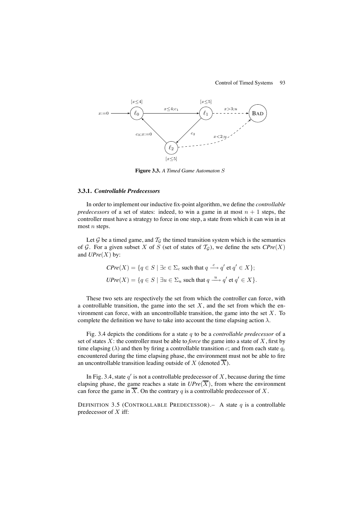# Control of Timed Systems 93



**Figure 3.3.** *A Timed Game Automaton* S

#### **3.3.1.** *Controllable Predecessors*

In order to implement our inductive fix-point algorithm, we define the *controllable predecessors* of a set of states: indeed, to win a game in at most  $n + 1$  steps, the controller must have a strategy to force in one step, a state from which it can win in at most  $n$  steps.

Let  $G$  be a timed game, and  $T_G$  the timed transition system which is the semantics of  $G$ . For a given subset X of S (set of states of  $T_G$ ), we define the sets  $CPre(X)$ and  $UPre(X)$  by:

$$
CPre(X) = \{ q \in S \mid \exists c \in \Sigma_c \text{ such that } q \xrightarrow{c} q' \text{ et } q' \in X \};
$$
  

$$
UPre(X) = \{ q \in S \mid \exists u \in \Sigma_u \text{ such that } q \xrightarrow{u} q' \text{ et } q' \in X \}.
$$

These two sets are respectively the set from which the controller can force, with a controllable transition, the game into the set  $X$ , and the set from which the environment can force, with an uncontrollable transition, the game into the set  $X$ . To complete the definition we have to take into account the time elapsing action  $\lambda$ .

Fig. 3.4 depicts the conditions for a state q to be a *controllable predecessor* of a set of states X: the controller must be able to *force* the game into a state of X, first by time elapsing ( $\lambda$ ) and then by firing a controllable transition c; and from each state  $q_t$ encountered during the time elapsing phase, the environment must not be able to fire an uncontrollable transition leading outside of X (denoted  $\overline{X}$ ).

In Fig. 3.4, state  $q'$  is not a controllable predecessor of X, because during the time elapsing phase, the game reaches a state in  $UPre(\overline{X})$ , from where the environment can force the game in  $\overline{X}$ . On the contrary q is a controllable predecessor of X.

DEFINITION 3.5 (CONTROLLABLE PREDECESSOR). – A state  $q$  is a controllable predecessor of  $X$  iff: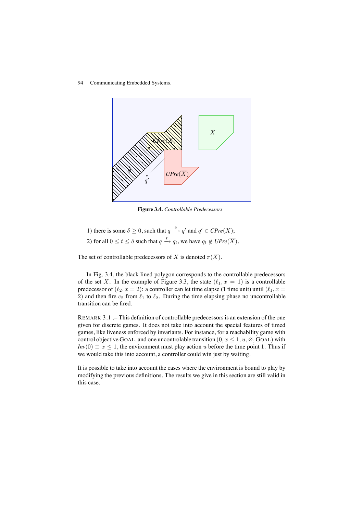94 Communicating Embedded Systems.



**Figure 3.4.** *Controllable Predecessors*

1) there is some  $\delta \geq 0$ , such that  $q \stackrel{\delta}{\rightarrow} q'$  and  $q' \in \mathbb{C}Pre(X)$ ; 2) for all  $0 \le t \le \delta$  such that  $q \xrightarrow{t} q_t$ , we have  $q_t \notin \mathcal{UPre}(\overline{X})$ .

The set of controllable predecessors of X is denoted  $\pi(X)$ .

In Fig. 3.4, the black lined polygon corresponds to the controllable predecessors of the set X. In the example of Figure 3.3, the state  $(\ell_1, x = 1)$  is a controllable predecessor of  $(\ell_2, x = 2)$ : a controller can let time elapse (1 time unit) until  $(\ell_1, x =$ 2) and then fire  $c_2$  from  $\ell_1$  to  $\ell_2$ . During the time elapsing phase no uncontrollable transition can be fired.

REMARK 3.1 .– This definition of controllable predecessors is an extension of the one given for discrete games. It does not take into account the special features of timed games, like liveness enforced by invariants. For instance, for a reachability game with control objective GOAL, and one uncontrolable transition  $(0, x \leq 1, u, \emptyset, GOAL)$  with  $Inv(0) \equiv x \leq 1$ , the environment must play action u before the time point 1. Thus if we would take this into account, a controller could win just by waiting.

It is possible to take into account the cases where the environment is bound to play by modifying the previous definitions. The results we give in this section are still valid in this case.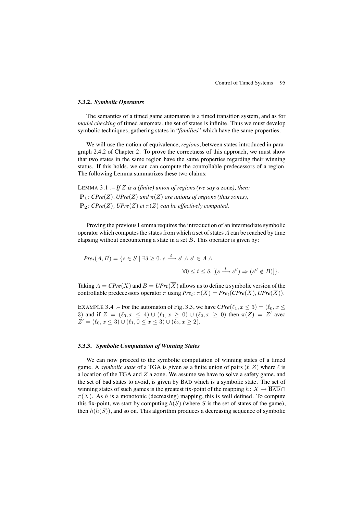#### **3.3.2.** *Symbolic Operators*

The semantics of a timed game automaton is a timed transition system, and as for *model checking* of timed automata, the set of states is infinite. Thus we must develop symbolic techniques, gathering states in "*families*" which have the same properties.

We will use the notion of equivalence, *regions*, between states introduced in paragraph 2.4.2 of Chapter 2. To prove the correctness of this approach, we must show that two states in the same region have the same properties regarding their winning status. If this holds, we can can compute the controllable predecessors of a region. The following Lemma summarizes these two claims:

LEMMA 3.1 .– *If* Z *is a (finite) union of regions (we say a* zone*), then:*  $\mathbf{P}_1$ *: CPre*(*Z*), *UPre*(*Z*) *and*  $\pi$ (*Z*) *are unions of regions (thus zones),*  $\mathbf{P}_2$ *: CPre*(*Z*)*, UPre*(*Z*) *et*  $\pi$ (*Z*) *can be effectively computed.* 

Proving the previous Lemma requires the introduction of an intermediate symbolic operator which computes the states from which a set of states  $A$  can be reached by time elapsing without encountering a state in a set  $B$ . This operator is given by:

$$
Pre_t(A, B) = \{ s \in S \mid \exists \delta \ge 0. \ s \xrightarrow{\delta} s' \land s' \in A \land \forall 0 \le t \le \delta. \ [ (s \xrightarrow{t} s'') \Rightarrow (s'' \notin B) ] \}.
$$

Taking  $A = CPre(X)$  and  $B = UPre(\overline{X})$  allows us to define a symbolic version of the controllable predecessors operator  $\pi$  using  $Pre_t: \pi(X) = Pre_t(CPre(X), UPre(\overline{X})).$ 

EXAMPLE 3.4 .– For the automaton of Fig. 3.3, we have  $CPre(\ell_1, x \leq 3) = (\ell_0, x \leq 3)$ 3) and if  $Z = (\ell_0, x \le 4) \cup (\ell_1, x \ge 0) \cup (\ell_2, x \ge 0)$  then  $\pi(Z) = Z'$  avec  $Z' = (\ell_0, x \leq 3) \cup (\ell_1, 0 \leq x \leq 3) \cup (\ell_2, x \geq 2).$ 

# **3.3.3.** *Symbolic Computation of Winning States*

We can now proceed to the symbolic computation of winning states of a timed game. A *symbolic state* of a TGA is given as a finite union of pairs  $(\ell, Z)$  where  $\ell$  is a location of the TGA and  $Z$  a zone. We assume we have to solve a safety game, and the set of bad states to avoid, is given by BAD which is a symbolic state. The set of winning states of such games is the greatest fix-point of the mapping  $h: X \mapsto \overline{BAD} \cap I$  $\pi(X)$ . As h is a monotonic (decreasing) mapping, this is well defined. To compute this fix-point, we start by computing  $h(S)$  (where S is the set of states of the game), then  $h(h(S))$ , and so on. This algorithm produces a decreasing sequence of symbolic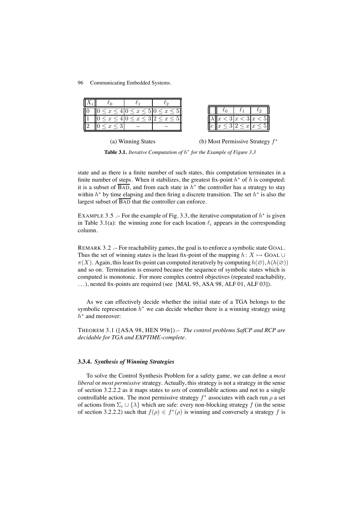| $\leq x$ | $\leq x \leq 5$   $0 \leq x \leq$ |  |                        |  |
|----------|-----------------------------------|--|------------------------|--|
|          |                                   |  | x  < 3  x  < 3  x  < 5 |  |
|          |                                   |  |                        |  |



**Table 3.1.** *Iterative Computation of* h<sup>∗</sup> *for the Example of Figure 3.3*

state and as there is a finite number of such states, this computation terminates in a finite number of steps. When it stabilizes, the greatest fix-point  $h^*$  of h is computed: it is a subset of  $\overline{BAD}$ , and from each state in  $h^*$  the controller has a strategy to stay within  $h^*$  by time elapsing and then firing a discrete transition. The set  $h^*$  is also the largest subset of  $\overline{BAD}$  that the controller can enforce.

EXAMPLE 3.5 .– For the example of Fig. 3.3, the iterative computation of  $h^*$  is given in Table 3.1(a): the winning zone for each location  $\ell_i$  appears in the corresponding column.

REMARK 3.2 .– For reachability games, the goal is to enforce a symbolic state GOAL. Thus the set of winning states is the least fix-point of the mapping  $h: X \mapsto$  GOAL ∪  $\pi(X)$ . Again, this least fix-point can computed iteratively by computing  $h(\emptyset)$ ,  $h(h(\emptyset))$ and so on. Termination is ensured because the sequence of symbolic states which is computed is monotonic. For more complex control objectives (repeated reachability, ...), nested fix-points are required (see [MAL 95, ASA 98, ALF 01, ALF 03]).

As we can effectively decide whether the initial state of a TGA belongs to the symbolic representation  $h^*$  we can decide whether there is a winning strategy using  $h^*$  and moreover:

THEOREM 3.1 ([ASA 98, HEN 99B]).– *The control problems SafCP and RCP are decidable for TGA and EXPTIME-complete.*

#### **3.3.4.** *Synthesis of Winning Strategies*

To solve the Control Synthesis Problem for a safety game, we can define a *most liberal* or *most permissive* strategy. Actually, this strategy is not a strategy in the sense of section 3.2.2.2 as it maps states to *sets* of controllable actions and not to a single controllable action. The most permissive strategy  $f^*$  associates with each run  $\rho$  a set of actions from  $\Sigma_c \cup \{\lambda\}$  which are safe: every non-blocking strategy f (in the sense of section 3.2.2.2) such that  $f(\rho) \in f^*(\rho)$  is winning and conversely a strategy f is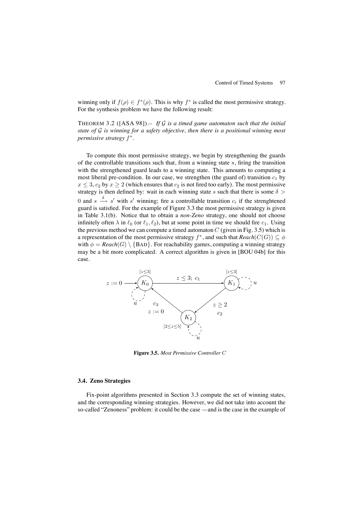winning only if  $f(\rho) \in f^*(\rho)$ . This is why  $f^*$  is called the most permissive strategy. For the synthesis problem we have the following result:

THEOREM 3.2 ([ASA 98]).– *If* G *is a timed game automaton such that the initial state of* G *is winning for a safety objective, then there is a positional winning most permissive strategy*  $f^*$ .

To compute this most permissive strategy, we begin by strengthening the guards of the controllable transitions such that, from a winning state  $s$ , firing the transition with the strengthened guard leads to a winning state. This amounts to computing a most liberal pre-condition. In our case, we strengthen (the guard of) transition  $c_1$  by  $x \leq 3$ ,  $c_2$  by  $x \geq 2$  (which ensures that  $c_2$  is not fired too early). The most permissive strategy is then defined by: wait in each winning state s such that there is some  $\delta$ 0 and  $s \stackrel{\delta}{\longrightarrow} s'$  with s' winning; fire a controllable transition  $c_i$  if the strenghtened guard is satisfied. For the example of Figure 3.3 the most permissive strategy is given in Table 3.1(b). Notice that to obtain a *non-Zeno* strategy, one should not choose infinitely often  $\lambda$  in  $\ell_0$  (or  $\ell_1, \ell_2$ ), but at some point in time we should fire  $c_1$ . Using the previous method we can compute a timed automaton  $C$  (given in Fig. 3.5) which is a representation of the most permissive strategy  $f^*$ , and such that  $Reach(C(G)) \subseteq \phi$ with  $\phi = \text{Reach}(G) \setminus \{BAD\}$ . For reachability games, computing a winning strategy may be a bit more complicated. A correct algorithm is given in [BOU 04b] for this case.



**Figure 3.5.** *Most Permissive Controller* C

# **3.4. Zeno Strategies**

Fix-point algorithms presented in Section 3.3 compute the set of winning states, and the corresponding winning strategies. However, we did not take into account the so-called "Zenoness" problem: it could be the case —and is the case in the example of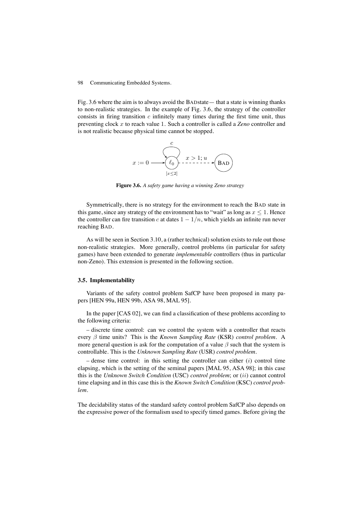Fig. 3.6 where the aim is to always avoid the BADstate— that a state is winning thanks to non-realistic strategies. In the example of Fig. 3.6, the strategy of the controller consists in firing transition  $c$  infinitely many times during the first time unit, thus preventing clock x to reach value 1. Such a controller is called a *Zeno* controller and is not realistic because physical time cannot be stopped.



**Figure 3.6.** *A safety game having a winning Zeno strategy*

Symmetrically, there is no strategy for the environment to reach the BAD state in this game, since any strategy of the environment has to "wait" as long as  $x \leq 1$ . Hence the controller can fire transition c at dates  $1 - 1/n$ , which yields an infinite run never reaching BAD.

As will be seen in Section 3.10, a (rather technical) solution exists to rule out those non-realistic strategies. More generally, control problems (in particular for safety games) have been extended to generate *implementable* controllers (thus in particular non-Zeno). This extension is presented in the following section.

## **3.5. Implementability**

Variants of the safety control problem SafCP have been proposed in many papers [HEN 99a, HEN 99b, ASA 98, MAL 95].

In the paper [CAS 02], we can find a classification of these problems according to the following criteria:

– discrete time control: can we control the system with a controller that reacts every β time units? This is the *Known Sampling Rate* (KSR) *control problem*. A more general question is ask for the computation of a value  $\beta$  such that the system is controllable. This is the *Unknown Sampling Rate* (USR) *control problem*.

– dense time control: in this setting the controller can either  $(i)$  control time elapsing, which is the setting of the seminal papers [MAL 95, ASA 98]; in this case this is the *Unknown Switch Condition* (USC) *control problem*; or (ii) cannot control time elapsing and in this case this is the *Known Switch Condition* (KSC) *control problem*.

The decidability status of the standard safety control problem SafCP also depends on the expressive power of the formalism used to specify timed games. Before giving the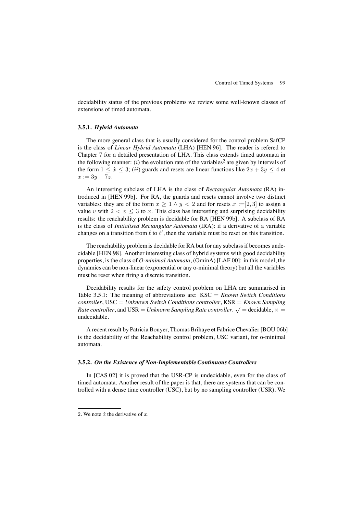decidability status of the previous problems we review some well-known classes of extensions of timed automata.

#### **3.5.1.** *Hybrid Automata*

The more general class that is usually considered for the control problem SafCP is the class of *Linear Hybrid Automata* (LHA) [HEN 96]. The reader is refered to Chapter 7 for a detailed presentation of LHA. This class extends timed automata in the following manner:  $(i)$  the evolution rate of the variables<sup>2</sup> are given by intervals of the form  $1 \leq \dot{x} \leq 3$ ; (*ii*) guards and resets are linear functions like  $2x + 3y \leq 4$  et  $x := 3y - 7z.$ 

An interesting subclass of LHA is the class of *Rectangular Automata* (RA) introduced in [HEN 99b]. For RA, the guards and resets cannot involve two distinct variables: they are of the form  $x \geq 1 \wedge y < 2$  and for resets  $x := ]2,3]$  to assign a value v with  $2 < v \leq 3$  to x. This class has interesting and surprising decidability results: the reachability problem is decidable for RA [HEN 99b]. A subclass of RA is the class of *Initialised Rectangular Automata* (IRA): if a derivative of a variable changes on a transition from  $\ell$  to  $\ell'$ , then the variable must be reset on this transition.

The reachability problem is decidable for RA but for any subclass if becomes undecidable [HEN 98]. Another interesting class of hybrid systems with good decidability properties, is the class of *O-minimal Automata*, (OminA) [LAF 00]: in this model, the dynamics can be non-linear (exponential or any o-minimal theory) but all the variables must be reset when firing a discrete transition.

Decidability results for the safety control problem on LHA are summarised in Table 3.5.1: The meaning of abbreviations are: KSC = *Known Switch Conditions controller*, USC = *Unknown Switch Conditions controller*, KSR = *Known Sampling Rate controller*, and USR = *Unknown Sampling Rate controller*.  $\sqrt{\ }$  = decidable,  $\times$  = undecidable.

A recent result by Patricia Bouyer, Thomas Brihaye et Fabrice Chevalier [BOU 06b] is the decidability of the Reachability control problem, USC variant, for o-minimal automata.

# **3.5.2.** *On the Existence of Non-Implementable Continuous Controllers*

In [CAS 02] it is proved that the USR-CP is undecidable, even for the class of timed automata. Another result of the paper is that, there are systems that can be controlled with a dense time controller (USC), but by no sampling controller (USR). We

<sup>2.</sup> We note  $\dot{x}$  the derivative of  $x$ .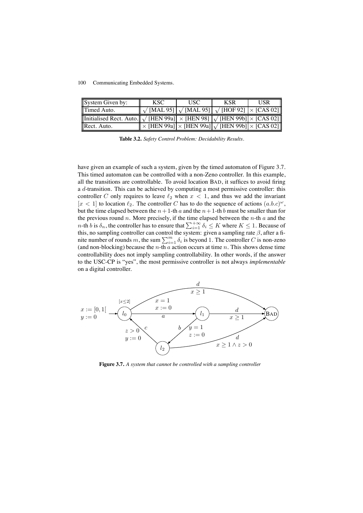| System Given by:                                                                                                                                          | KSC.                                                                                                                                                                                 | USC. | <b>KSR</b> | <b>USR</b> |
|-----------------------------------------------------------------------------------------------------------------------------------------------------------|--------------------------------------------------------------------------------------------------------------------------------------------------------------------------------------|------|------------|------------|
| Timed Auto.                                                                                                                                               | $\left\Vert \sqrt{\left[\text{MAL 95}\right]}\right\Vert \sqrt{\left[\text{MAL 95}\right]\left[\sqrt{\left[\text{HOF 92}\right]}\right]\times\left[\text{CAS 02}\right]}\right\Vert$ |      |            |            |
| Initialised Rect. Auto. $\left\  \sqrt{\text{[HEN 99a]}} \right\  \times \text{[HEN 98]} \left\  \sqrt{\text{[HEN 99b]}} \right\  \times \text{[CAS 02]}$ |                                                                                                                                                                                      |      |            |            |
| Rect. Auto.                                                                                                                                               | $\overline{\ \times$ [HEN 99a] $\overline{\ \times}$ [HEN 99a] $\overline{ \sqrt{ }}$ [HEN 99b] $\overline{\ \times }$ [CAS 02] $\ $                                                 |      |            |            |

**Table 3.2.** *Safety Control Problem: Decidability Results.*

have given an example of such a system, given by the timed automaton of Figure 3.7. This timed automaton can be controlled with a non-Zeno controller. In this example, all the transitions are controllable. To avoid location BAD, it suffices to avoid firing a d-transition. This can be achieved by computing a most permissive controller: this controller C only requires to leave  $\ell_2$  when  $x < 1$ , and thus we add the invariant  $[x < 1]$  to location  $\ell_2$ . The controller C has to do the sequence of actions  $(a.b.c)^{\omega}$ , but the time elapsed between the  $n+1$ -th a and the  $n+1$ -th b must be smaller than for the previous round n. More precisely, if the time elapsed between the  $n$ -th  $a$  and the *n*-th *b* is  $\delta_n$ , the controller has to ensure that  $\sum_{i=1}^{+\infty} \delta_i \leq K$  where  $K \leq 1$ . Because of this, no sampling controller can control the system: given a sampling rate  $\beta$ , after a finite number of rounds m, the sum  $\sum_{i=1}^{m} \delta_i$  is beyond 1. The controller C is non-zeno (and non-blocking) because the *n*-th  $a$  action occurs at time  $n$ . This shows dense time controllability does not imply sampling controllability. In other words, if the answer to the USC-CP is "yes", the most permissive controller is not always *implementable* on a digital controller.



**Figure 3.7.** *A system that cannot be controlled with a sampling controller*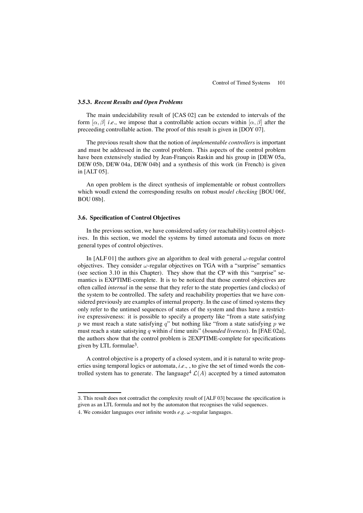### **3.5.3.** *Recent Results and Open Problems*

The main undecidability result of [CAS 02] can be extended to intervals of the form  $[\alpha, \beta]$  *i.e.*, we impose that a controllable action occurs within  $[\alpha, \beta]$  after the preceeding controllable action. The proof of this result is given in [DOY 07].

The previous result show that the notion of *implementable controllers* is important and must be addressed in the control problem. This aspects of the control problem have been extensively studied by Jean-François Raskin and his group in [DEW 05a, DEW 05b, DEW 04a, DEW 04b] and a synthesis of this work (in French) is given in [ALT 05].

An open problem is the direct synthesis of implementable or robust controllers which woudl extend the corresponding results on robust *model checking* [BOU 06f, BOU 08b].

# **3.6. Specification of Control Objectives**

In the previous section, we have considered safety (or reachability) control objectives. In this section, we model the systems by timed automata and focus on more general types of control objectives.

In [ALF 01] the authors give an algorithm to deal with general  $\omega$ -regular control objectives. They consider  $\omega$ -regular objectives on TGA with a "surprise" semantics (see section 3.10 in this Chapter). They show that the CP with this "surprise" semantics is EXPTIME-complete. It is to be noticed that those control objectives are often called *internal* in the sense that they refer to the state properties (and clocks) of the system to be controlled. The safety and reachability properties that we have considered previously are examples of internal property. In the case of timed systems they only refer to the untimed sequences of states of the system and thus have a restrictive expressiveness: it is possible to specify a property like "from a state satisfying p we must reach a state satisfying  $q$ " but nothing like "from a state satisfying p we must reach a state satistying q within d time units" (*bounded liveness*). In [FAE 02a], the authors show that the control problem is 2EXPTIME-complete for specifications given by LTL formulae3.

A control objective is a property of a closed system, and it is natural to write properties using temporal logics or automata, *i.e.,* , to give the set of timed words the controlled system has to generate. The language<sup>4</sup>  $\mathcal{L}(A)$  accepted by a timed automaton

<sup>3</sup>. This result does not contradict the complexity result of [ALF 03] because the specification is

given as an LTL formula and not by the automaton that recognises the valid sequences.

<sup>4</sup>. We consider languages over infinite words *e.g.* ω-regular languages.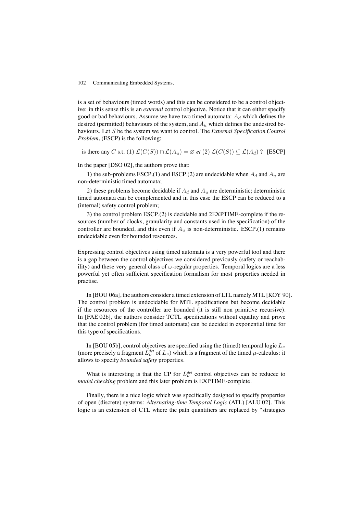is a set of behaviours (timed words) and this can be considered to be a control objective: in this sense this is an *external* control objective. Notice that it can either specify good or bad behaviours. Assume we have two timed automata:  $A_d$  which defines the desired (permitted) behaviours of the system, and  $A_u$  which defines the undesired behaviours. Let S be the system we want to control. The *External Specification Control Problem*, (ESCP) is the following:

is there any C s.t. (1)  $\mathcal{L}(C(S)) \cap \mathcal{L}(A_u) = \emptyset$  *et* (2)  $\mathcal{L}(C(S)) \subseteq \mathcal{L}(A_d)$  ? [ESCP]

In the paper [DSO 02], the authors prove that:

1) the sub-problems ESCP.(1) and ESCP.(2) are undecidable when  $A_d$  and  $A_u$  are non-deterministic timed automata;

2) these problems become decidable if  $A_d$  and  $A_u$  are deterministic; deterministic timed automata can be complemented and in this case the ESCP can be reduced to a (internal) safety control problem;

3) the control problem ESCP.(2) is decidable and 2EXPTIME-complete if the resources (number of clocks, granularity and constants used in the specification) of the controller are bounded, and this even if  $A_u$  is non-deterministic. ESCP.(1) remains undecidable even for bounded resources.

Expressing control objectives using timed automata is a very powerful tool and there is a gap between the control objectives we considered previously (safety or reachability) and these very general class of  $\omega$ -regular properties. Temporal logics are a less powerful yet often sufficient specification formalism for most properties needed in practise.

In [BOU 06a], the authors consider a timed extension of LTL namely MTL [KOY 90]. The control problem is undecidable for MTL specifications but become decidable if the resources of the controller are bounded (it is still non primitive recursive). In [FAE 02b], the authors consider TCTL specifications without equality and prove that the control problem (for timed automata) can be decided in exponential time for this type of specifications.

In [BOU 05b], control objectives are specified using the (timed) temporal logic  $L_{\nu}$ (more precisely a fragment  $L_{\nu}^{det}$  of  $L_{\nu}$ ) which is a fragment of the timed  $\mu$ -calculus: it allows to specify *bounded safety* properties.

What is interesting is that the CP for  $L^{det}_{\nu}$  control objectives can be reduced to *model checking* problem and this later problem is EXPTIME-complete.

Finally, there is a nice logic which was specifically designed to specify properties of open (discrete) systems: *Alternating-time Temporal Logic* (ATL) [ALU 02]. This logic is an extension of CTL where the path quantifiers are replaced by "strategies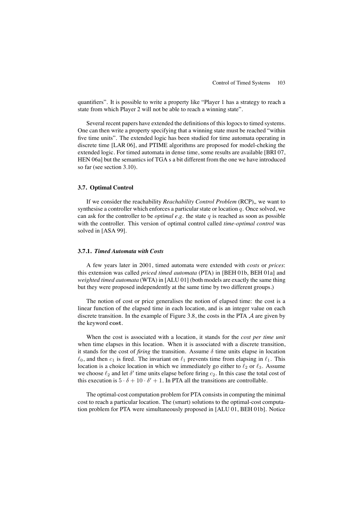quantifiers". It is possible to write a property like "Player 1 has a strategy to reach a state from which Player 2 will not be able to reach a winning state".

Several recent papers have extended the definitions of this logocs to timed systems. One can then write a property specifying that a winning state must be reached "within five time units". The extended logic has been studied for time automata operating in discrete time [LAR 06], and PTIME algorithms are proposed for model-cheking the extended logic. For timed automata in dense time, some results are available [BRI 07, HEN 06a] but the semantics iof TGA s a bit different from the one we have introduced so far (see section 3.10).

# **3.7. Optimal Control**

If we consider the reachability *Reachability Control Problem* (RCP), we want to synthesise a controller which enforces a particular state or location  $q$ . Once solved, we can ask for the controller to be *optimal e.g.* the state  $q$  is reached as soon as possible with the controller. This version of optimal control called *time-optimal control* was solved in [ASA 99].

#### **3.7.1.** *Timed Automata with Costs*

A few years later in 2001, timed automata were extended with *costs* or *prices*: this extension was called *priced timed automata* (PTA) in [BEH 01b, BEH 01a] and *weighted timed automata* (WTA) in [ALU 01] (both models are exactly the same thing but they were proposed independently at the same time by two different groups.)

The notion of cost or price generalises the notion of elapsed time: the cost is a linear function of the elapsed time in each location, and is an integer value on each discrete transition. In the example of Figure 3.8, the costs in the PTA  $A$  are given by the keyword cost.

When the cost is associated with a location, it stands for the *cost per time unit* when time elapses in this location. When it is associated with a discrete transition, it stands for the cost of *firing* the transition. Assume  $\delta$  time units elapse in location  $\ell_0$ , and then  $c_1$  is fired. The invariant on  $\ell_1$  prevents time from elapsing in  $\ell_1$ . This location is a choice location in which we immediately go either to  $\ell_2$  or  $\ell_3$ . Assume we choose  $\ell_2$  and let  $\delta'$  time units elapse before firing  $c_2$ . In this case the total cost of this execution is  $5 \cdot \delta + 10 \cdot \delta' + 1$ . In PTA all the transitions are controllable.

The optimal-cost computation problem for PTA consists in computing the minimal cost to reach a particular location. The (smart) solutions to the optimal-cost computation problem for PTA were simultaneously proposed in [ALU 01, BEH 01b]. Notice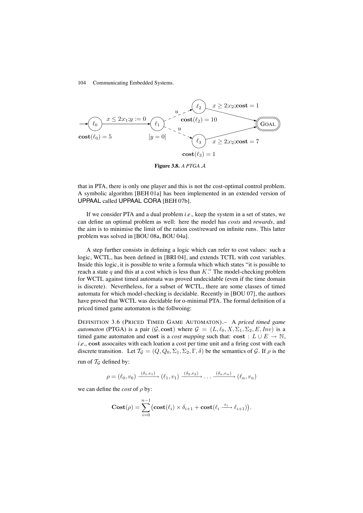

**Figure 3.8.** *A PTGA* A

that in PTA, there is only one player and this is not the cost-optimal control problem. A symbolic algorithm [BEH 01a] has been implemented in an extended version of UPPAAL called UPPAAL CORA [BEH 07b].

If we consider PTA and a dual problem *i.e.,* keep the system in a set of states, we can define an optimal problem as well: here the model has *costs* and *rewards*, and the aim is to minimise the limit of the ration cost/reward on infinite runs. This latter problem was solved in [BOU 08a, BOU 04a].

A step further consists in defining a logic which can refer to cost values: such a logic, WCTL, has been defined in [BRI 04], and extends TCTL with cost variables. Inside this logic, it is possible to write a formula which which states "it is possible to reach a state q and this at a cost which is less than K." The model-checking problem for WCTL against timed automata was proved undecidable (even if the time domain is discrete). Nevertheless, for a subset of WCTL, there are some classes of timed automata for which model-checking is decidable. Recently in [BOU 07], the authors have proved that WCTL was decidable for o-minimal PTA. The formal definition of a priced timed game automaton is the follwoing:

DEFINITION 3.6 (PRICED TIMED GAME AUTOMATON).– A *priced timed game automaton* (PTGA) is a pair  $(\mathcal{G}, \text{cost})$  where  $\mathcal{G} = (L, \ell_0, X, \Sigma_1, \Sigma_2, E, Inv)$  is a timed game automaton and cost is a *cost mapping* such that: cost :  $L \cup E \rightarrow \mathbb{N}$ , *i.e.*, cost assocaites with each loation a cost per time unit and a firing cost with each discrete transition. Let  $\mathcal{T}_{\mathcal{G}} = (Q, Q_0, \Sigma_1, \Sigma_2, \Gamma, \delta)$  be the semantics of  $\mathcal{G}$ . If  $\rho$  is the run of  $T_G$  defined by:

$$
\rho = (\ell_0, v_0) \xrightarrow{(\delta_1, e_1)} (\ell_1, v_1) \xrightarrow{(\delta_2, e_2)} \dots \xrightarrow{(\delta_n, e_n)} (\ell_n, v_n)
$$

we can define the *cost* of  $\rho$  by:

$$
\mathbf{Cost}(\rho) = \sum_{i=0}^{n-1} \bigl(\mathbf{cost}(\ell_i) \times \delta_{i+1} + \mathbf{cost}(\ell_i \xrightarrow{e_i} \ell_{i+1})\bigr).
$$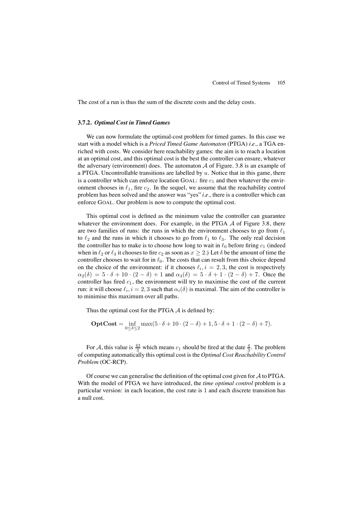The cost of a run is thus the sum of the discrete costs and the delay costs.

### **3.7.2.** *Optimal Cost in Timed Games*

We can now formulate the optimal-cost problem for timed games. In this case we start with a model which is a *Priced Timed Game Automaton* (PTGA) *i.e.,* a TGA enriched with costs. We consider here reachability games: the aim is to reach a location at an optimal cost, and this optimal cost is the best the controller can ensure, whatever the adversary (environment) does. The automaton  $A$  of Figure. 3.8 is an example of a PTGA. Uncontrollable transitions are labelled by  $u$ . Notice that in this game, there is a controller which can enforce location GOAL: fire  $c_1$  and then whatever the environment chooses in  $\ell_1$ , fire  $c_2$ . In the sequel, we assume that the reachability control problem has been solved and the answer was "yes" *i.e.,* there is a controller which can enforce GOAL. Our problem is now to compute the optimal cost.

This optimal cost is defined as the minimum value the controller can guarantee whatever the environment does. For example, in the PTGA  $A$  of Figure 3.8, there are two families of runs: the runs in which the environment chooses to go from  $\ell_1$ to  $\ell_2$  and the runs in which it chooses to go from  $\ell_1$  to  $\ell_3$ . The only real decision the controller has to make is to choose how long to wait in  $\ell_0$  before firing  $c_1$  (indeed when in  $\ell_2$  or  $\ell_3$  it chooses to fire  $c_2$  as soon as  $x > 2$ .) Let  $\delta$  be the amount of time the controller chooses to wait for in  $\ell_0$ . The costs that can result from this choice depend on the choice of the environment: if it chooses  $\ell_i$ ,  $i = 2, 3$ , the cost is respectively  $\alpha_2(\delta) = 5 \cdot \delta + 10 \cdot (2 - \delta) + 1$  and  $\alpha_3(\delta) = 5 \cdot \delta + 1 \cdot (2 - \delta) + 7$ . Once the controller has fired  $c_1$ , the environment will try to maximise the cost of the current run: it will choose  $\ell_i$ ,  $i = 2, 3$  such that  $\alpha_i(\delta)$  is maximal. The aim of the controller is to minimise this maximum over all paths.

Thus the optimal cost for the PTGA  $\mathcal A$  is defined by:

$$
\mathbf{OptCost} = \inf_{0 \le \delta \le 2} \max(5 \cdot \delta + 10 \cdot (2 - \delta) + 1, 5 \cdot \delta + 1 \cdot (2 - \delta) + 7).
$$

For A, this value is  $\frac{43}{3}$  which means  $c_1$  should be fired at the date  $\frac{4}{3}$ . The problem of computing automatically this optimal cost is the *Optimal Cost Reachability Control Problem* (OC-RCP).

Of course we can generalise the definition of the optimal cost given for  $A$  to PTGA. With the model of PTGA we have introduced, the *time optimal control* problem is a particular version: in each location, the cost rate is 1 and each discrete transition has a null cost.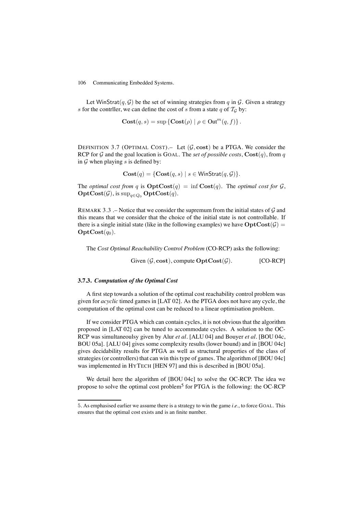Let WinStrat $(q, \mathcal{G})$  be the set of winning strategies from q in  $\mathcal{G}$ . Given a strategy s for the contriller, we can define the cost of s from a state q of  $T_G$  by:

$$
Cost(q, s) = \sup \{ Cost(\rho) | \rho \in Out^{m}(q, f) \}.
$$

DEFINITION 3.7 (OPTIMAL COST). Let  $(G, cost)$  be a PTGA. We consider the RCP for  $G$  and the goal location is GOAL. The *set of possible costs*,  $\text{Cost}(q)$ , from q in  $G$  when playing  $s$  is defined by:

$$
\mathbf{Cost}(q) = \{ \mathbf{Cost}(q, s) \mid s \in \mathsf{WinStrat}(q, \mathcal{G}) \}.
$$

The *optimal cost from* q is  $\text{OptCost}(q) = \inf \text{Cost}(q)$ . The *optimal cost for*  $\mathcal{G}$ ,  $\text{OptCost}(\mathcal{G})$ , is  $\sup_{q \in Q_0} \text{OptCost}(q)$ .

REMARK 3.3 .– Notice that we consider the supremum from the initial states of  $\mathcal G$  and this means that we consider that the choice of the initial state is not controllable. If there is a single initial state (like in the following examples) we have  $OptCost(\mathcal{G}) =$  $\textbf{OptCost}(q_0)$ .

The *Cost Optimal Reachability Control Problem* (CO-RCP) asks the following:

Given  $(\mathcal{G}, \text{cost})$ , compute  $\text{OptCost}(\mathcal{G})$ . [CO-RCP]

## **3.7.3.** *Computation of the Optimal Cost*

A first step towards a solution of the optimal cost reachability control problem was given for *acyclic* timed games in [LAT 02]. As the PTGA does not have any cycle, the computation of the optimal cost can be reduced to a linear optimisation problem.

If we consider PTGA which can contain cycles, it is not obvious that the algorithm proposed in [LAT 02] can be tuned to accommodate cycles. A solution to the OC-RCP was simultaneoulsy given by Alur *et al.* [ALU 04] and Bouyer *et al.* [BOU 04c, BOU 05a]. [ALU 04] gives some complexity results (lower bound) and in [BOU 04c] gives decidability results for PTGA as well as structural properties of the class of strategies (or controllers) that can win this type of games. The algorithm of [BOU 04c] was implemented in HYTECH [HEN 97] and this is described in [BOU 05a].

We detail here the algorithm of [BOU 04c] to solve the OC-RCP. The idea we propose to solve the optimal cost problem5 for PTGA is the following: the OC-RCP

<sup>5</sup>. As emphasised earlier we assume there is a strategy to win the game *i.e.,* to force GOAL. This ensures that the optimal cost exists and is an finite number.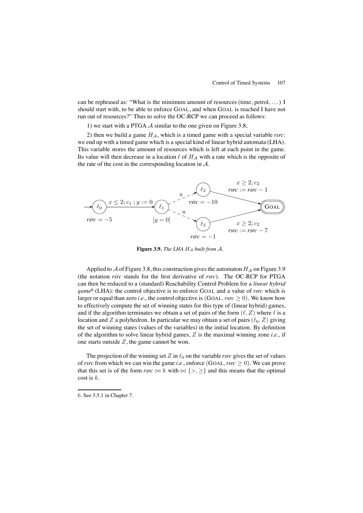can be rephrased as: "What is the minimum amount of resources (time, petrol, . . . ) I should start with, to be able to enforce GOAL, and when GOAL is reached I have not run out of resources?" Thus to solve the OC-RCP we can proceed as follows:

1) we start with a PTGA  $\mathcal A$  similar to the one given on Figure 3.8;

2) then we build a game  $H_A$ , which is a timed game with a special variable *rsrc*: we end up with a timed game which is a special kind of linear hybrid automata (LHA). This variable stores the amount of resources which is left at each point in the game. Its value will then decrease in a location  $\ell$  of  $H_A$  with a rate which is the opposite of the rate of the cost in the corresponding location in  $A$ .



**Figure 3.9.** *The LHA* H<sup>A</sup> *built from* A*.*

Applied to A of Figure 3.8, this construction gives the automaton  $H_A$  on Figure 3.9 (the notation *rsrc*˙ stands for the first derivative of *rsrc*). The OC-RCP for PTGA can then be reduced to a (standard) Reachability Control Problem for a *linear hybrid game*6 (LHA): the control objective is to enforce GOAL and a value of *rsrc* which is larger or equal than zero *i.e.*, the control objective is  $(GoAL, rsrc > 0)$ . We know how to effectively compute the set of winning states for this type of (linear hybrid) games, and if the algorithm terminates we obtain a set of pairs of the form  $(\ell, Z)$  where  $\ell$  is a location and Z a polyhedron. In particular we may obtain a set of pairs  $(\ell_0, Z)$  giving the set of winning states (values of the variables) in the initial location. By definition of the algorithm to solve linear hybrid games, Z is the maximal winning zone *i.e.,* if one starts outside  $Z$ , the game cannot be won.

The projection of the winning set  $Z$  in  $\ell_0$  on the variable *rsrc* gives the set of values of *rsrc* from which we can win the game *i.e.*, enforce (GOAL, *rsrc*  $\geq$  0). We can prove that this set is of the form *rsrc*  $\bowtie$  k with  $\bowtie$  {>, >} and this means that the optimal  $\cosh$  is  $k$ .

<sup>6</sup>. See 3.5.1 in Chapter 7.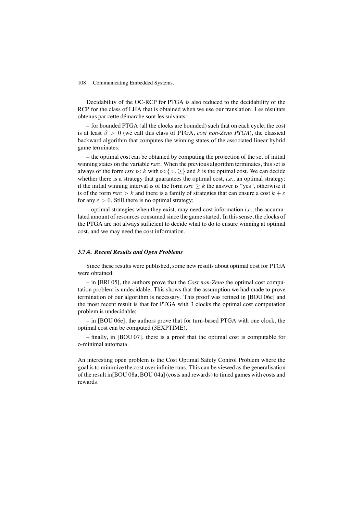Decidability of the OC-RCP for PTGA is also reduced to the decidability of the RCP for the class of LHA that is obtained when we use our translation. Les résultats obtenus par cette démarche sont les suivants:

– for bounded PTGA (all the clocks are bounded) such that on each cycle, the cost is at least  $\beta > 0$  (we call this class of PTGA, *cost non-Zeno PTGA*), the classical backward algorithm that computes the winning states of the associated linear hybrid game terminates;

– the optimal cost can be obtained by computing the projection of the set of initial winning states on the variable *rsrc*. When the previous algorithm terminates, this set is always of the form  $\textit{rsrc} \bowtie k$  with  $\bowtie$  {>, >} and k is the optimal cost. We can decide whether there is a strategy that guarantees the optimal cost, *i.e.*, an optimal strategy: if the initial winning interval is of the form  $rsrc \geq k$  the answer is "yes", otherwise it is of the form  $\textit{rsrc} > k$  and there is a family of strategies that can ensure a cost  $k + \varepsilon$ for any  $\varepsilon > 0$ . Still there is no optimal strategy;

– optimal strategies when they exist, may need cost information *i.e.,* the accumulated amount of resources consumed since the game started. In this sense, the clocks of the PTGA are not always sufficient to decide what to do to ensure winning at optimal cost, and we may need the cost information.

#### **3.7.4.** *Recent Results and Open Problems*

Since these results were published, some new results about optimal cost for PTGA were obtained:

– in [BRI 05], the authors prove that the *Cost non-Zeno* the optimal cost computation problem is undecidable. This shows that the assumption we had made to prove termination of our algorithm is necessary. This proof was refined in [BOU 06c] and the most recent result is that for PTGA with 3 clocks the optimal cost computation problem is undecidable;

– in [BOU 06e], the authors prove that for turn-based PTGA with one clock, the optimal cost can be computed (3EXPTIME).

– finally, in [BOU 07], there is a proof that the optimal cost is computable for o-minimal automata.

An interesting open problem is the Cost Optimal Safety Control Problem where the goal is to minimize the cost over infinite runs. This can be viewed as the generalisation of the result in[BOU 08a, BOU 04a] (costs and rewards) to timed games with costs and rewards.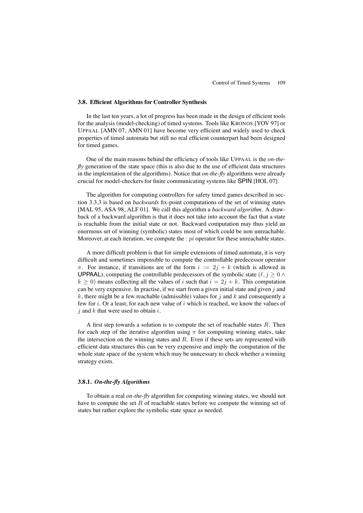#### **3.8. Efficient Algorithms for Controller Synthesis**

In the last ten years, a lot of progress has been made in the design of efficient tools for the analysis (model-checking) of timed systems. Tools like KRONOS [YOV 97] or UPPAAL [AMN 07, AMN 01] have become very efficient and widely used to check properties of timed automata but still no real efficient counterpart had been designed for timed games.

One of the main reasons behind the efficiency of tools like UPPAAL is the *on-thefly* generation of the state space (this is also due to the use of efficient data structures in the implemtation of the algorithms). Notice that *on-the-fly* algorithms were already crucial for model-checkers for finite communicating systems like SPIN [HOL 07].

The algorithm for computing controllers for safety timed games described in section 3.3.3 is based on *backwards* fix-point computations of the set of winning states [MAL 95, ASA 98, ALF 01]. We call this algorithm a *backward algorithm*. A drawback of a backward algorithm is that it does not take into account the fact that a state is reachable from the initial state or not. Backward computation may thus yield an enormous set of winning (symbolic) states most of which could be non unreachable. Moreover, at each iteration, we compute the  $:pi$  operator for these unreachable states.

A more difficult problem is that for simple extensions of timed automata, it is very difficult and sometimes impossible to compute the controllable predecessor operator  $\pi$ . For instance, if transitions are of the form  $i := 2j + k$  (which is allowed in **UPPAAL**), computing the controllable predecessors of the symbolic state ( $\ell, j \geq 0 \land$  $k \ge 0$ ) means collecting all the values of i such that  $i = 2j + k$ . This computation can be very expensive. In practise, if we start from a given initial state and given  $j$  and k, there might be a few reachable (admissible) values for j and k and consequently a few for i. Or a least, for each new value of i which is reached, we know the values of  $i$  and  $k$  that were used to obtain  $i$ .

A first step towards a solution is to compute the set of reachable states  $R$ . Then for each step of the iterative algorithm using  $\pi$  for computing winning states, take the intersection on the winning states and  $R$ . Even if these sets are represented with efficient data structures this can be very expensive and imply the computation of the whole state space of the system which may be unncessary to check whether a winning strategy exists.

#### **3.8.1.** *On-the-fly Algorithms*

To obtain a real *on-the-fly* algorithm for computing winning states, we should not have to compute the set  $R$  of reachable states before we compute the winning set of states but rather explore the symbolic state space as needed.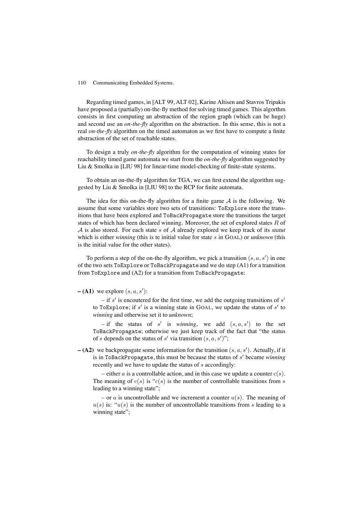Regarding timed games, in [ALT 99, ALT 02], Karine Altisen and Stavros Tripakis have proposed a (partially) on-the-fly method for solving timed games. This algorthm consists in first computing an abstraction of the region graph (which can be huge) and second use an *on-the-fly* algorithm on the abstraction. In this sense, this is not a real *on-the-fly* algorithm on the timed automaton as we first have to compute a finite abstraction of the set of reachable states.

To design a truly *on-the-fly* algorithm for the computation of winning states for reachability timed game automata we start from the *on-the-fly* algorithm suggested by Liu & Smolka in [LIU 98] for linear-time model-checking of finite-state systems.

To obtain an on-the-fly algorithm for TGA, we can first extend the algorithm suggested by Liu & Smolka in [LIU 98] to the RCP for finite automata.

The idea for this on-the-fly algorithm for a finite game  $A$  is the following. We assume that some variables store two sets of transitions: ToExplore store the transitions that have been explored and ToBackPropagate store the transitions the target states of which has been declared winning. Moreover, the set of explored states  $R$  of A is also stored. For each state s of A already explored we keep track of its *statut* which is either *winning* (this is te initial value for state s in GOAL) or *unknown* (this is the initial value for the other states).

To perform a step of the on-the-fly algorithm, we pick a transition  $(s, a, s')$  in one of the two sets  $ToExplore$  or  $ToBackPropagate$  and we do step  $(A1)$  for a transition from ToExplore and (A2) for a transition from ToBackPropagate:

 $- (A1)$  we explore  $(s, a, s')$ :

– if s' is encoutered for the first time, we add the outgoing transitions of s' to ToExplore; if s' is a winning state in GOAL, we update the status of s' to *winning* and otherwise set it to *unknown*;

 $-$  if the status of s' is *winning*, we add  $(s, a, s')$  to the set ToBackPropagate; otherwise we just keep track of the fact that "the status of s depends on the status of s' via transition  $(s, a, s')$ ";

 $- (A2)$  we backpropagate some information for the transition  $(s, a, s')$ . Actually, if it is in ToBackPropagate, this must be because the status of  $s'$  became *winning* recently and we have to update the status of  $s$  accordingly:

– either a is a controllable action, and in this case we update a counter  $c(s)$ . The meaning of  $c(s)$  is " $c(s)$  is the number of controllable transitions from s leading to a winning state";

– or a is uncontrollable and we increment a counter  $u(s)$ . The meaning of  $u(s)$  is: " $u(s)$  is the number of uncontrollable transitions from s leading to a winning state":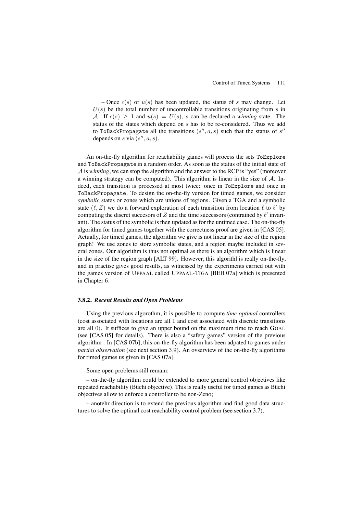– Once  $c(s)$  or  $u(s)$  has been updated, the status of s may change. Let  $U(s)$  be the total number of uncontrollable transitions originating from s in A. If  $c(s) \ge 1$  and  $u(s) = U(s)$ , s can be declared a *winning* state. The status of the states which depend on s has to be re-considered. Thus we add to ToBackPropagate all the transitions  $(s'', a, s)$  such that the status of  $s''$ depends on s via  $(s'', a, s)$ .

An on-the-fly algorithm for reachability games will process the sets ToExplore and ToBackPropagate in a random order. As soon as the status of the initial state of A is *winning*, we can stop the algorithm and the answer to the RCP is "yes" (moreover a winning strategy can be computed). This algorithm is linear in the size of  $A$ . Indeed, each transition is processed at most twice: once in ToExplore and once in ToBackPropagate. To design the on-the-fly version for timed games, we consider *symbolic* states or zones which are unions of regions. Given a TGA and a symbolic state  $(\ell, Z)$  we do a forward exploration of each transition from location  $\ell$  to  $\ell'$  by computing the discret successors of Z and the time successors (contrained by  $\ell'$  invariant). The status of the symbolic is then updated as for the untimed case. The on-the-fly algorithm for timed games together with the correctness proof are given in [CAS 05]. Actually, for timed games, the algorithm we give is not linear in the size of the region graph! We use zones to store symbolic states, and a region maybe included in several zones. Our algorithm is thus not optimal as there is an algorithm which is linear in the size of the region graph [ALT 99]. However, this algorithl is really on-the-fly, and in practise gives good results, as witnessed by the experiments carried out with the games version of UPPAAL called UPPAAL-TIGA [BEH 07a] which is presented in Chapter 6.

#### **3.8.2.** *Recent Results and Open Problems*

Using the previous algorothm, it is possible to compute *time optimal* controllers (cost associated with locations are all 1 and cost associated with discrete transitions are all 0). It suffices to give an upper bound on the maximum time to reach GOAL (see [CAS 05] for details). There is also a "safety games" version of the previous algorithm . In [CAS 07b], this on-the-fly algorithm has been adpated to games under *partial observation* (see next section 3.9). An ovserview of the on-the-fly algorithms for timed games us given in [CAS 07a].

## Some open problems still remain:

– on-the-fly algorithm could be extended to more general control objectives like repeated reachability (Büchi objective). This is really useful for timed games as Büchi objectives allow to enforce a controller to be non-Zeno;

– anotehr direction is to extend the previous algorithm and find good data structures to solve the optimal cost reachability control problem (see section 3.7).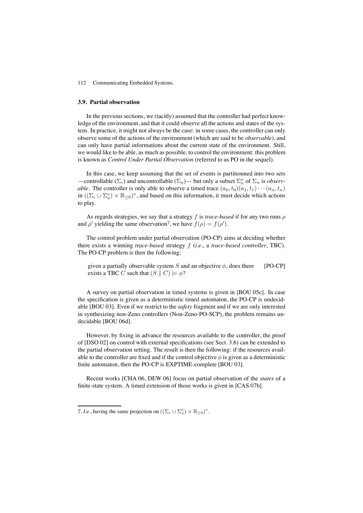#### **3.9. Partial observation**

In the previous sections, we (tacitly) assumed that the controller had perfect knowledge of the environment, and that it could observe all the actions and states of the system. In practice, it might not always be the case: in some cases, the controller can only observe some of the actions of the environment (which are said to be *observable*), and can only have partial informations about the current state of the environment. Still, we would like to be able, as much as possible, to control the environment: this problem is known as *Control Under Partial Observation* (referred to as PO in the sequel).

In this case, we keep assuming that the set of events is partitionned into two sets —controllable  $(\Sigma_c)$  and uncontrollable  $(\Sigma_u)$ — but only a subset  $\Sigma_u^o$  of  $\Sigma_u$  is *observable*. The controller is only able to observe a timed trace  $(a_0, t_0)(a_1, t_1)\cdots(a_n, t_n)$ in  $((\Sigma_c \cup \Sigma_u^o) \times \mathbb{R}_{\geq 0})^*$ , and based on this information, it must decide which actions to play.

As regards strategies, we say that a strategy f is *trace-based* if for any two runs ρ and  $\rho'$  yielding the same observation<sup>7</sup>, we have  $f(\rho) = f(\rho').$ 

The control problem under partial observation (PO-CP) aims at deciding whether there exists a winning *trace-based* strategy f (*i.e.*, a *trace-based controller*, TBC). The PO-CP problem is then the following:

given a partially observable system S and an objective  $\phi$ , does there exists a TBC C such that  $(S \parallel C) \models \phi$ ? [PO-CP]

A survey on partial observation in timed systems is given in [BOU 05c]. In case the specification is given as a deterministic timed automaton, the PO-CP is undecidable [BOU 03]. Even if we restrict to the *safety* fragment and if we are only interested in synthesizing non-Zeno controllers (Non-Zeno-PO-SCP), the problem remains undecidable [BOU 06d].

However, by fixing in advance the resources available to the controller, the proof of [DSO 02] on control with external specifications (see Sect. 3.6) can be extended to the partial observation setting. The result is then the following: if the resources available to the controller are fixed and if the control objective  $\phi$  is given as a deterministic finite automaton, then the PO-CP is EXPTIME-complete [BOU 03].

Recent works [CHA 06, DEW 06] focus on partial observation of the *states* of a finite-state system. A timed extension of those works is given in [CAS 07b].

<sup>7.</sup> I.e., having the same projection on  $((\Sigma_c \cup \Sigma_u^o) \times \mathbb{R}_{\geq 0})^*$ .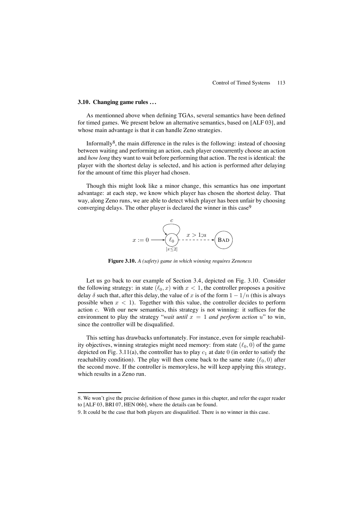## **3.10. Changing game rules . . .**

As mentionned above when defining TGAs, several semantics have been defined for timed games. We present below an alternative semantics, based on [ALF 03], and whose main advantage is that it can handle Zeno strategies.

Informally<sup>8</sup>, the main difference in the rules is the following: instead of choosing between waiting and performing an action, each player concurrently choose an action and *how long* they want to wait before performing that action. The rest is identical: the player with the shortest delay is selected, and his action is performed after delaying for the amount of time this player had chosen.

Though this might look like a minor change, this semantics has one important advantage: at each step, we know which player has chosen the shortest delay. That way, along Zeno runs, we are able to detect which player has been unfair by choosing converging delays. The other player is declared the winner in this case<sup>9</sup>



**Figure 3.10.** *A (safety) game in which winning requires Zenoness*

Let us go back to our example of Section 3.4, depicted on Fig. 3.10. Consider the following strategy: in state  $(\ell_0, x)$  with  $x < 1$ , the controller proposes a positive delay  $\delta$  such that, after this delay, the value of x is of the form  $1 - 1/n$  (this is always possible when  $x < 1$ ). Together with this value, the controller decides to perform action c. With our new semantics, this strategy is not winning: it suffices for the environment to play the strategy "*wait until*  $x = 1$  *and perform action* u" to win, since the controller will be disqualified.

This setting has drawbacks unfortunately. For instance, even for simple reachability objectives, winning strategies might need memory: from state  $(\ell_0, 0)$  of the game depicted on Fig. 3.11(a), the controller has to play  $c_1$  at date 0 (in order to satisfy the reachability condition). The play will then come back to the same state  $(\ell_0, 0)$  after the second move. If the controller is memoryless, he will keep applying this strategy, which results in a Zeno run.

<sup>8</sup>. We won't give the precise definition of those games in this chapter, and refer the eager reader to [ALF 03, BRI 07, HEN 06b], where the details can be found.

<sup>9</sup>. It could be the case that both players are disqualified. There is no winner in this case.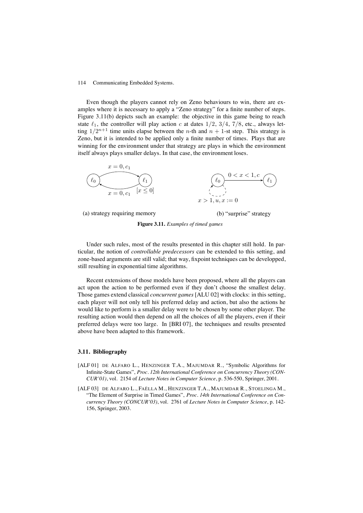Even though the players cannot rely on Zeno behaviours to win, there are examples where it is necessary to apply a "Zeno strategy" for a finite number of steps. Figure 3.11(b) depicts such an example: the objective in this game being to reach state  $\ell_1$ , the controller will play action c at dates  $1/2$ ,  $3/4$ ,  $7/8$ , etc., always letting  $1/2^{n+1}$  time units elapse between the *n*-th and  $n + 1$ -st step. This strategy is Zeno, but it is intended to be applied only a finite number of times. Plays that are winning for the environment under that strategy are plays in which the environment itself always plays smaller delays. In that case, the environment loses.



(a) strategy requiring memory

(b) "surprise" strategy

**Figure 3.11.** *Examples of timed games*

Under such rules, most of the results presented in this chapter still hold. In particular, the notion of *controllable predecessors* can be extended to this setting, and zone-based arguments are still valid; that way, fixpoint techniques can be developped, still resulting in exponential time algorithms.

Recent extensions of those models have been proposed, where all the players can act upon the action to be performed even if they don't choose the smallest delay. Those games extend classical *concurrent games* [ALU 02] with clocks: in this setting, each player will not only tell his preferred delay and action, but also the actions he would like to perform is a smaller delay were to be chosen by some other player. The resulting action would then depend on all the choices of all the players, even if their preferred delays were too large. In [BRI 07], the techniques and results presented above have been adapted to this framework.

# **3.11. Bibliography**

- [ALF 01] DE ALFARO L., HENZINGER T.A., MAJUMDAR R., "Symbolic Algorithms for Infinite-State Games", *Proc. 12th International Conference on Concurrency Theory (CON-CUR'01)*, vol. 2154 of *Lecture Notes in Computer Science*, p. 536-550, Springer, 2001.
- [ALF 03] DE ALFARO L., FAËLLA M., HENZINGER T.A., MAJUMDAR R., STOELINGA M., "The Element of Surprise in Timed Games", *Proc. 14th International Conference on Concurrency Theory (CONCUR'03)*, vol. 2761 of *Lecture Notes in Computer Science*, p. 142- 156, Springer, 2003.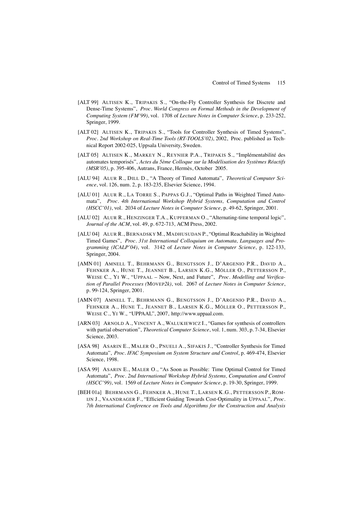- [ALT 99] ALTISEN K., TRIPAKIS S., "On-the-Fly Controller Synthesis for Discrete and Dense-Time Systems", *Proc. World Congress on Formal Methods in the Development of Computing System (FM'99)*, vol. 1708 of *Lecture Notes in Computer Science*, p. 233-252, Springer, 1999.
- [ALT 02] ALTISEN K., TRIPAKIS S., "Tools for Controller Synthesis of Timed Systems", *Proc. 2nd Workshop on Real-Time Tools (RT-TOOLS'02)*, 2002, Proc. published as Technical Report 2002-025, Uppsala University, Sweden.
- [ALT 05] ALTISEN K., MARKEY N., REYNIER P.A., TRIPAKIS S., "Implémentabilité des automates temporisés", *Actes du 5ème Colloque sur la Modélisation des Systèmes Réactifs (MSR'05)*, p. 395-406, Autrans, France, Hermès, October 2005.
- [ALU 94] ALUR R., DILL D., "A Theory of Timed Automata", *Theoretical Computer Science*, vol. 126, num. 2, p. 183-235, Elsevier Science, 1994.
- [ALU 01] ALUR R., LA TORRE S., PAPPAS G.J., "Optimal Paths in Weighted Timed Automata", *Proc. 4th International Workshop Hybrid Systems, Computation and Control (HSCC'01)*, vol. 2034 of *Lecture Notes in Computer Science*, p. 49-62, Springer, 2001.
- [ALU 02] ALUR R., HENZINGER T.A., KUPFERMAN O., "Alternating-time temporal logic", *Journal of the ACM*, vol. 49, p. 672-713, ACM Press, 2002.
- [ALU 04] ALUR R., BERNADSKY M., MADHUSUDAN P., "Optimal Reachability in Weighted Timed Games", *Proc. 31st International Colloquium on Automata, Languages and Programming (ICALP'04)*, vol. 3142 of *Lecture Notes in Computer Science*, p. 122-133, Springer, 2004.
- [AMN 01] AMNELL T., BEHRMANN G., BENGTSSON J., D'ARGENIO P.R., DAVID A., FEHNKER A., HUNE T., JEANNET B., LARSEN K.G., MÖLLER O., PETTERSSON P., WEISE C., YI W., "UPPAAL – Now, Next, and Future", *Proc. Modelling and Verification of Parallel Processes (*MOVEP*2k)*, vol. 2067 of *Lecture Notes in Computer Science*, p. 99-124, Springer, 2001.
- [AMN 07] AMNELL T., BEHRMANN G., BENGTSSON J., D'ARGENIO P.R., DAVID A., FEHNKER A., HUNE T., JEANNET B., LARSEN K.G., MÖLLER O., PETTERSSON P., WEISE C., YI W., "UPPAAL", 2007, http://www.uppaal.com.
- [ARN 03] ARNOLD A., VINCENT A., WALUKIEWICZ I., "Games for synthesis of controllers with partial observation", *Theoretical Computer Science*, vol. 1, num. 303, p. 7-34, Elsevier Science, 2003.
- [ASA 98] ASARIN E., MALER O., PNUELI A., SIFAKIS J., "Controller Synthesis for Timed Automata", *Proc. IFAC Symposium on System Structure and Control*, p. 469-474, Elsevier Science, 1998.
- [ASA 99] ASARIN E., MALER O., "As Soon as Possible: Time Optimal Control for Timed Automata", *Proc. 2nd International Workshop Hybrid Systems, Computation and Control (HSCC'99)*, vol. 1569 of *Lecture Notes in Computer Science*, p. 19-30, Springer, 1999.
- [BEH 01a] BEHRMANN G., FEHNKER A., HUNE T., LARSEN K.G., PETTERSSON P., ROM-IJN J., VAANDRAGER F., "Efficient Guiding Towards Cost-Optimality in UPPAAL", *Proc. 7th International Conference on Tools and Algorithms for the Construction and Analysis*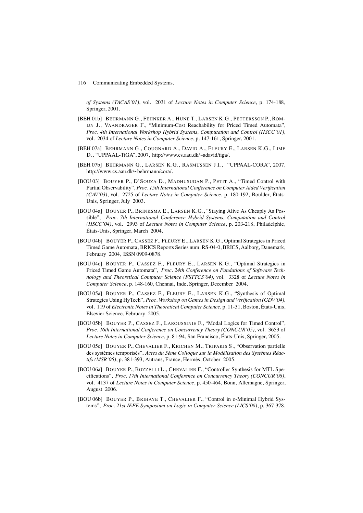*of Systems (TACAS'01)*, vol. 2031 of *Lecture Notes in Computer Science*, p. 174-188, Springer, 2001.

- [BEH 01b] BEHRMANN G., FEHNKER A., HUNE T., LARSEN K.G., PETTERSSON P., ROM-IJN J., VAANDRAGER F., "Minimum-Cost Reachability for Priced Timed Automata", *Proc. 4th International Workshop Hybrid Systems, Computation and Control (HSCC'01)*, vol. 2034 of *Lecture Notes in Computer Science*, p. 147-161, Springer, 2001.
- [BEH 07a] BEHRMANN G., COUGNARD A., DAVID A., FLEURY E., LARSEN K.G., LIME D., "UPPAAL-TiGA", 2007, http://www.cs.aau.dk/~adavid/tiga/.
- [BEH 07b] BEHRMANN G., LARSEN K.G., RASMUSSEN J.I., "UPPAAL-CORA", 2007, http://www.cs.aau.dk/~behrmann/cora/.
- [BOU 03] BOUYER P., D'SOUZA D., MADHUSUDAN P., PETIT A., "Timed Control with Partial Observability", *Proc. 15th International Conference on Computer Aided Verification (CAV'03)*, vol. 2725 of *Lecture Notes in Computer Science*, p. 180-192, Boulder, États-Unis, Springer, July 2003.
- [BOU 04a] BOUYER P., BRINKSMA E., LARSEN K.G., "Staying Alive As Cheaply As Possible", *Proc. 7th International Conference Hybrid Systems, Computation and Control (HSCC'04)*, vol. 2993 of *Lecture Notes in Computer Science*, p. 203-218, Philadelphie, États-Unis, Springer, March 2004.
- [BOU 04b] BOUYER P., CASSEZ F., FLEURY E., LARSEN K.G., Optimal Strategies in Priced Timed Game Automata, BRICS Reports Series num. RS-04-0, BRICS, Aalborg, Danemark, February 2004, ISSN 0909-0878.
- [BOU 04c] BOUYER P., CASSEZ F., FLEURY E., LARSEN K.G., "Optimal Strategies in Priced Timed Game Automata", *Proc. 24th Conference on Fundations of Software Technology and Theoretical Computer Science (FSTTCS'04)*, vol. 3328 of *Lecture Notes in Computer Science*, p. 148-160, Chennai, Inde, Springer, December 2004.
- [BOU 05a] BOUYER P., CASSEZ F., FLEURY E., LARSEN K.G., "Synthesis of Optimal Strategies Using HyTech", *Proc. Workshop on Games in Design and Verification (GDV'04)*, vol. 119 of *Electronic Notes in Theoretical Computer Science*, p. 11-31, Boston, États-Unis, Elsevier Science, February 2005.
- [BOU 05b] BOUYER P., CASSEZ F., LAROUSSINIE F., "Modal Logics for Timed Control", *Proc. 16th International Conference on Concurrency Theory (CONCUR'05)*, vol. 3653 of *Lecture Notes in Computer Science*, p. 81-94, San Francisco, États-Unis, Springer, 2005.
- [BOU 05c] BOUYER P., CHEVALIER F., KRICHEN M., TRIPAKIS S., "Observation partielle des systèmes temporisés", *Actes du 5ème Colloque sur la Modélisation des Systèmes Réactifs (MSR'05)*, p. 381-393, Autrans, France, Hermès, October 2005.
- [BOU 06a] BOUYER P., BOZZELLI L., CHEVALIER F., "Controller Synthesis for MTL Specifications", *Proc. 17th International Conference on Concurrency Theory (CONCUR'06)*, vol. 4137 of *Lecture Notes in Computer Science*, p. 450-464, Bonn, Allemagne, Springer, August 2006.
- [BOU 06b] BOUYER P., BRIHAYE T., CHEVALIER F., "Control in o-Minimal Hybrid Systems", *Proc. 21st IEEE Symposium on Logic in Computer Science (LICS'06)*, p. 367-378,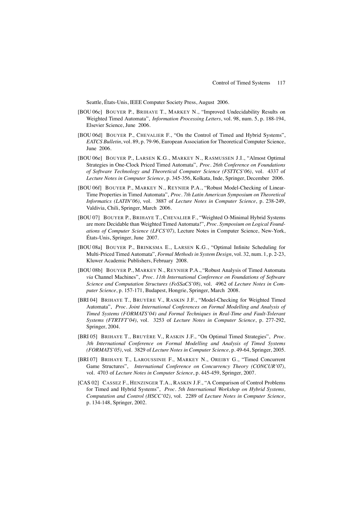Seattle, États-Unis, IEEE Computer Society Press, August 2006.

- [BOU 06c] BOUYER P., BRIHAYE T., MARKEY N., "Improved Undecidability Results on Weighted Timed Automata", *Information Processing Letters*, vol. 98, num. 5, p. 188-194, Elsevier Science, June 2006.
- [BOU 06d] BOUYER P., CHEVALIER F., "On the Control of Timed and Hybrid Systems", *EATCS Bulletin*, vol. 89, p. 79-96, European Association for Theoretical Computer Science, June 2006.
- [BOU 06e] BOUYER P., LARSEN K.G., MARKEY N., RASMUSSEN J.I., "Almost Optimal Strategies in One-Clock Priced Timed Automata", *Proc. 26th Conference on Foundations of Software Technology and Theoretical Computer Science (FSTTCS'06)*, vol. 4337 of *Lecture Notes in Computer Science*, p. 345-356, Kolkata, Inde, Springer, December 2006.
- [BOU 06f] BOUYER P., MARKEY N., REYNIER P.A., "Robust Model-Checking of Linear-Time Properties in Timed Automata", *Proc. 7th Latin American Symposium on Theoretical Informatics (LATIN'06)*, vol. 3887 of *Lecture Notes in Computer Science*, p. 238-249, Valdivia, Chili, Springer, March 2006.
- [BOU 07] BOUYER P., BRIHAYE T., CHEVALIER F., "Weighted O-Minimal Hybrid Systems are more Decidable than Weighted Timed Automata!", *Proc. Symposium on Logical Foundations of Computer Science (LFCS'07)*, Lecture Notes in Computer Science, New-York, États-Unis, Springer, June 2007.
- [BOU 08a] BOUYER P., BRINKSMA E., LARSEN K.G., "Optimal Infinite Scheduling for Multi-Priced Timed Automata", *Formal Methods in System Design*, vol. 32, num. 1, p. 2-23, Kluwer Academic Publishers, February 2008.
- [BOU 08b] BOUYER P., MARKEY N., REYNIER P.A., "Robust Analysis of Timed Automata *via* Channel Machines", *Proc. 11th International Conference on Foundations of Software Science and Computation Structures (FoSSaCS'08)*, vol. 4962 of *Lecture Notes in Computer Science*, p. 157-171, Budapest, Hongrie, Springer, March 2008.
- [BRI 04] BRIHAYE T., BRUYÈRE V., RASKIN J.F., "Model-Checking for Weighted Timed Automata", *Proc. Joint International Conferences on Formal Modelling and Analysis of Timed Systems (FORMATS'04) and Formal Techniques in Real-Time and Fault-Tolerant Systems (FTRTFT'04)*, vol. 3253 of *Lecture Notes in Computer Science*, p. 277-292, Springer, 2004.
- [BRI 05] BRIHAYE T., BRUYÈRE V., RASKIN J.F., "On Optimal Timed Strategies", *Proc. 3th International Conference on Formal Modelling and Analysis of Timed Systems (FORMATS'05)*, vol. 3829 of *Lecture Notes in Computer Science*, p. 49-64, Springer, 2005.
- [BRI 07] BRIHAYE T., LAROUSSINIE F., MARKEY N., OREIBY G., "Timed Concurrent Game Structures", *International Conference on Concurrency Theory (CONCUR'07)*, vol. 4703 of *Lecture Notes in Computer Science*, p. 445-459, Springer, 2007.
- [CAS 02] CASSEZ F., HENZINGER T.A., RASKIN J.F., "A Comparison of Control Problems for Timed and Hybrid Systems", *Proc. 5th International Workshop on Hybrid Systems, Computation and Control (HSCC'02)*, vol. 2289 of *Lecture Notes in Computer Science*, p. 134-148, Springer, 2002.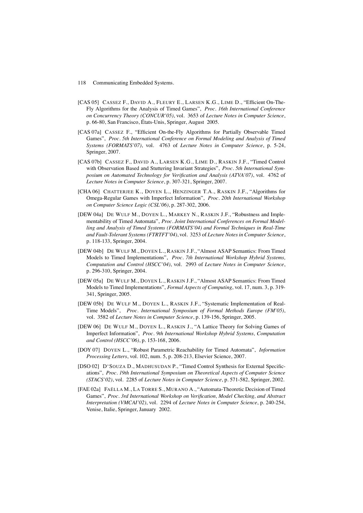- [CAS 05] CASSEZ F., DAVID A., FLEURY E., LARSEN K.G., LIME D., "Efficient On-The-Fly Algorithms for the Analysis of Timed Games", *Proc. 16th International Conference on Concurrency Theory (CONCUR'05)*, vol. 3653 of *Lecture Notes in Computer Science*, p. 66-80, San Francisco, États-Unis, Springer, August 2005.
- [CAS 07a] CASSEZ F., "Efficient On-the-Fly Algorithms for Partially Observable Timed Games", *Proc. 5th International Conference on Formal Modeling and Analysis of Timed Systems (FORMATS'07)*, vol. 4763 of *Lecture Notes in Computer Science*, p. 5-24, Springer, 2007.
- [CAS 07b] CASSEZ F., DAVID A., LARSEN K.G., LIME D., RASKIN J.F., "Timed Control with Observation Based and Stuttering Invariant Strategies", *Proc. 5th International Symposium on Automated Technology for Verification and Analysis (ATVA'07)*, vol. 4762 of *Lecture Notes in Computer Science*, p. 307-321, Springer, 2007.
- [CHA 06] CHATTERJEE K., DOYEN L., HENZINGER T.A., RASKIN J.F., "Algorithms for Omega-Regular Games with Imperfect Information", *Proc. 20th International Workshop on Computer Science Logic (CSL'06)*, p. 287-302, 2006.
- [DEW 04a] DE WULF M., DOYEN L., MARKEY N., RASKIN J.F., "Robustness and Implementability of Timed Automata", *Proc. Joint International Conferences on Formal Modelling and Analysis of Timed Systems (FORMATS'04) and Formal Techniques in Real-Time and Fault-Tolerant Systems (FTRTFT'04)*, vol. 3253 of *Lecture Notes in Computer Science*, p. 118-133, Springer, 2004.
- [DEW 04b] DE WULF M., DOYEN L., RASKIN J.F., "Almost ASAP Semantics: From Timed Models to Timed Implementations", *Proc. 7th International Workshop Hybrid Systems, Computation and Control (HSCC'04)*, vol. 2993 of *Lecture Notes in Computer Science*, p. 296-310, Springer, 2004.
- [DEW 05a] DE WULF M., DOYEN L., RASKIN J.F., "Almost ASAP Semantics: From Timed Models to Timed Implementations", *Formal Aspects of Computing*, vol. 17, num. 3, p. 319- 341, Springer, 2005.
- [DEW 05b] DE WULF M., DOYEN L., RASKIN J.F., "Systematic Implementation of Real-Time Models", *Proc. International Symposium of Formal Methods Europe (FM'05)*, vol. 3582 of *Lecture Notes in Computer Science*, p. 139-156, Springer, 2005.
- [DEW 06] DE WULF M., DOYEN L., RASKIN J., "A Lattice Theory for Solving Games of Imperfect Information", *Proc. 9th International Workshop Hybrid Systems, Computation and Control (HSCC'06)*, p. 153-168, 2006.
- [DOY 07] DOYEN L., "Robust Parametric Reachability for Timed Automata", *Information Processing Letters*, vol. 102, num. 5, p. 208-213, Elsevier Science, 2007.
- [DSO 02] D'SOUZA D., MADHUSUDAN P., "Timed Control Synthesis for External Specifications", *Proc. 19th International Symposium on Theoretical Aspects of Computer Science (STACS'02)*, vol. 2285 of *Lecture Notes in Computer Science*, p. 571-582, Springer, 2002.
- [FAE 02a] FAËLLA M., LA TORRE S., MURANO A., "Automata-Theoretic Decision of Timed Games", *Proc. 3rd International Workshop on Verification, Model Checking, and Abstract Interpretation (VMCAI'02)*, vol. 2294 of *Lecture Notes in Computer Science*, p. 240-254, Venise, Italie, Springer, January 2002.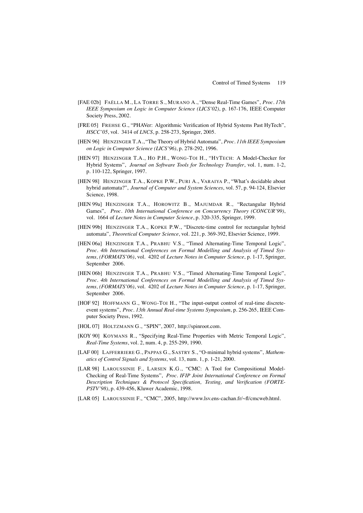- [FAE 02b] FAËLLA M., LA TORRE S., MURANO A., "Dense Real-Time Games", *Proc. 17th IEEE Symposium on Logic in Computer Science (LICS'02)*, p. 167-176, IEEE Computer Society Press, 2002.
- [FRE 05] FREHSE G., "PHAVer: Algorithmic Verification of Hybrid Systems Past HyTech", *HSCC'05*, vol. 3414 of *LNCS*, p. 258-273, Springer, 2005.
- [HEN 96] HENZINGER T.A., "The Theory of Hybrid Automata", *Proc. 11th IEEE Symposium on Logic in Computer Science (LICS'96)*, p. 278-292, 1996.
- [HEN 97] HENZINGER T.A., HO P.H., WONG-TOI H., "HYTECH: A Model-Checker for Hybrid Systems", *Journal on Software Tools for Technology Transfer*, vol. 1, num. 1-2, p. 110-122, Springer, 1997.
- [HEN 98] HENZINGER T.A., KOPKE P.W., PURI A., VARAIYA P., "What's decidable about hybrid automata?", *Journal of Computer and System Sciences*, vol. 57, p. 94-124, Elsevier Science, 1998.
- [HEN 99a] HENZINGER T.A., HOROWITZ B., MAJUMDAR R., "Rectangular Hybrid Games", *Proc. 10th International Conference on Concurrency Theory (CONCUR'99)*, vol. 1664 of *Lecture Notes in Computer Science*, p. 320-335, Springer, 1999.
- [HEN 99b] HENZINGER T.A., KOPKE P.W., "Discrete-time control for rectangular hybrid automata", *Theoretical Computer Science*, vol. 221, p. 369-392, Elsevier Science, 1999.
- [HEN 06a] HENZINGER T.A., PRABHU V.S., "Timed Alternating-Time Temporal Logic", *Proc. 4th International Conferences on Formal Modelling and Analysis of Timed Systems, (FORMATS'06)*, vol. 4202 of *Lecture Notes in Computer Science*, p. 1-17, Springer, September 2006.
- [HEN 06b] HENZINGER T.A., PRABHU V.S., "Timed Alternating-Time Temporal Logic", *Proc. 4th International Conferences on Formal Modelling and Analysis of Timed Systems, (FORMATS'06)*, vol. 4202 of *Lecture Notes in Computer Science*, p. 1-17, Springer, September 2006.
- [HOF 92] HOFFMANN G., WONG-TOI H., "The input-output control of real-time discreteevent systems", *Proc. 13th Annual Real-time Systems Symposium*, p. 256-265, IEEE Computer Society Press, 1992.
- [HOL 07] HOLTZMANN G., "SPIN", 2007, http://spinroot.com.
- [KOY 90] KOYMANS R., "Specifying Real-Time Properties with Metric Temporal Logic", *Real-Time Systems*, vol. 2, num. 4, p. 255-299, 1990.
- [LAF 00] LAFFERRIERE G., PAPPAS G., SASTRY S., "O-minimal hybrid systems", *Mathematics of Control Signals and Systems*, vol. 13, num. 1, p. 1-21, 2000.
- [LAR 98] LAROUSSINIE F., LARSEN K.G., "CMC: A Tool for Compositional Model-Checking of Real-Time Systems", *Proc. IFIP Joint International Conference on Formal Description Techniques & Protocol Specification, Testing, and Verification (FORTE-PSTV'98)*, p. 439-456, Kluwer Academic, 1998.
- [LAR 05] LAROUSSINIE F., "CMC", 2005, http://www.lsv.ens-cachan.fr/~fl/cmcweb.html.